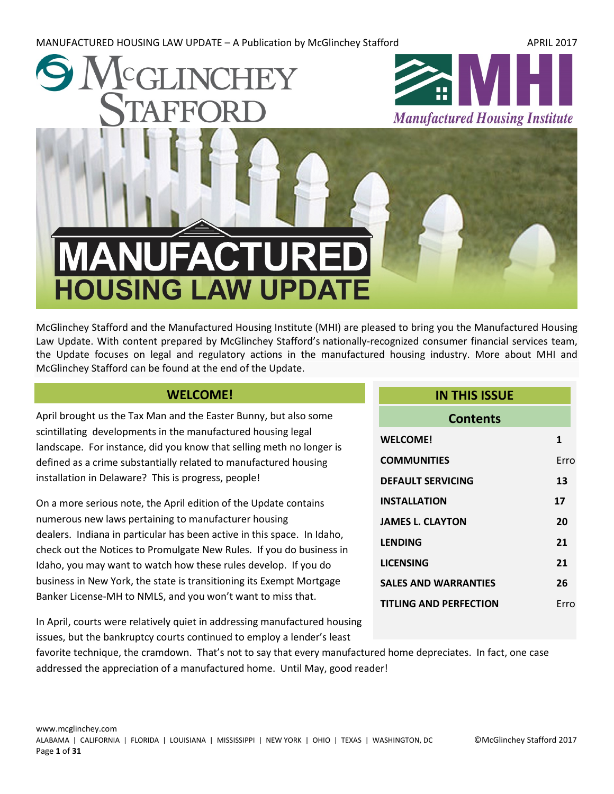MANUFACTURED HOUSING LAW UPDATE – A Publication by McGlinchey Stafford APRIL 2017



McGlinchey Stafford and the Manufactured Housing Institute (MHI) are pleased to bring you the Manufactured Housing Law Update. With content prepared by McGlinchey Stafford's nationally-recognized consumer financial services team, the Update focuses on legal and regulatory actions in the manufactured housing industry. More about MHI and McGlinchey Stafford can be found at the end of the Update.

# **WELCOME!**

<span id="page-0-0"></span>April brought us the Tax Man and the Easter Bunny, but also some scintillating developments in the manufactured housing legal landscape. For instance, did you know that selling meth no longer is defined as a crime substantially related to manufactured housing installation in Delaware? This is progress, people!

On a more serious note, the April edition of the Update contains numerous new laws pertaining to manufacturer housing dealers. Indiana in particular has been active in this space. In Idaho, check out the Notices to Promulgate New Rules. If you do business in Idaho, you may want to watch how these rules develop. If you do business in New York, the state is transitioning its Exempt Mortgage Banker License-MH to NMLS, and you won't want to miss that.

| <b>Contents</b>               |      |
|-------------------------------|------|
| <b>WELCOME!</b>               | 1    |
| <b>COMMUNITIES</b>            | Frro |
| <b>DEFAULT SERVICING</b>      | 13   |
| <b>INSTALLATION</b>           | 17   |
| <b>JAMES L. CLAYTON</b>       | 20   |
| <b>LENDING</b>                | 21   |
| <b>LICENSING</b>              | 21   |
| <b>SALES AND WARRANTIES</b>   | 26   |
| <b>TITLING AND PERFECTION</b> | Frro |

**IN THIS ISSUE**

In April, courts were relatively quiet in addressing manufactured housing issues, but the bankruptcy courts continued to employ a lender's least

favorite technique, the cramdown. That's not to say that every manufactured home depreciates. In fact, one case addressed the appreciation of a manufactured home. Until May, good reader!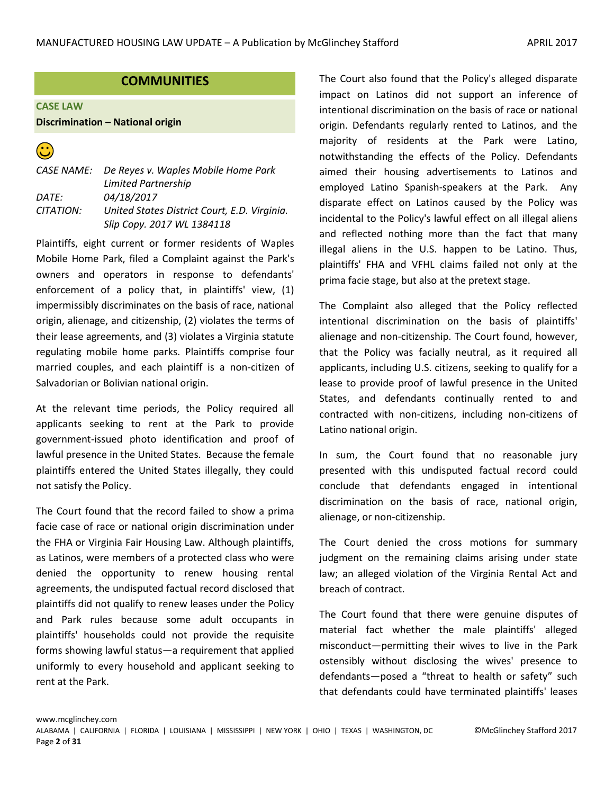# **COMMUNITIES**

#### <span id="page-1-0"></span>**CASE LAW**

#### **Discrimination – National origin**



|                  | CASE NAME: De Reyes v. Waples Mobile Home Park |
|------------------|------------------------------------------------|
|                  | Limited Partnership                            |
| DATF:            | 04/18/2017                                     |
| <i>CITATION:</i> | United States District Court, E.D. Virginia.   |
|                  | Slip Copy. 2017 WL 1384118                     |

Plaintiffs, eight current or former residents of Waples Mobile Home Park, filed a Complaint against the Park's owners and operators in response to defendants' enforcement of a policy that, in plaintiffs' view, (1) impermissibly discriminates on the basis of race, national origin, alienage, and citizenship, (2) violates the terms of their lease agreements, and (3) violates a Virginia statute regulating mobile home parks. Plaintiffs comprise four married couples, and each plaintiff is a non-citizen of Salvadorian or Bolivian national origin.

At the relevant time periods, the Policy required all applicants seeking to rent at the Park to provide government-issued photo identification and proof of lawful presence in the United States. Because the female plaintiffs entered the United States illegally, they could not satisfy the Policy.

The Court found that the record failed to show a prima facie case of race or national origin discrimination under the FHA or Virginia Fair Housing Law. Although plaintiffs, as Latinos, were members of a protected class who were denied the opportunity to renew housing rental agreements, the undisputed factual record disclosed that plaintiffs did not qualify to renew leases under the Policy and Park rules because some adult occupants in plaintiffs' households could not provide the requisite forms showing lawful status—a requirement that applied uniformly to every household and applicant seeking to rent at the Park.

The Court also found that the Policy's alleged disparate impact on Latinos did not support an inference of intentional discrimination on the basis of race or national origin. Defendants regularly rented to Latinos, and the majority of residents at the Park were Latino, notwithstanding the effects of the Policy. Defendants aimed their housing advertisements to Latinos and employed Latino Spanish-speakers at the Park. Any disparate effect on Latinos caused by the Policy was incidental to the Policy's lawful effect on all illegal aliens and reflected nothing more than the fact that many illegal aliens in the U.S. happen to be Latino. Thus, plaintiffs' FHA and VFHL claims failed not only at the prima facie stage, but also at the pretext stage.

The Complaint also alleged that the Policy reflected intentional discrimination on the basis of plaintiffs' alienage and non-citizenship. The Court found, however, that the Policy was facially neutral, as it required all applicants, including U.S. citizens, seeking to qualify for a lease to provide proof of lawful presence in the United States, and defendants continually rented to and contracted with non-citizens, including non-citizens of Latino national origin.

In sum, the Court found that no reasonable jury presented with this undisputed factual record could conclude that defendants engaged in intentional discrimination on the basis of race, national origin, alienage, or non-citizenship.

The Court denied the cross motions for summary judgment on the remaining claims arising under state law; an alleged violation of the Virginia Rental Act and breach of contract.

The Court found that there were genuine disputes of material fact whether the male plaintiffs' alleged misconduct—permitting their wives to live in the Park ostensibly without disclosing the wives' presence to defendants—posed a "threat to health or safety" such that defendants could have terminated plaintiffs' leases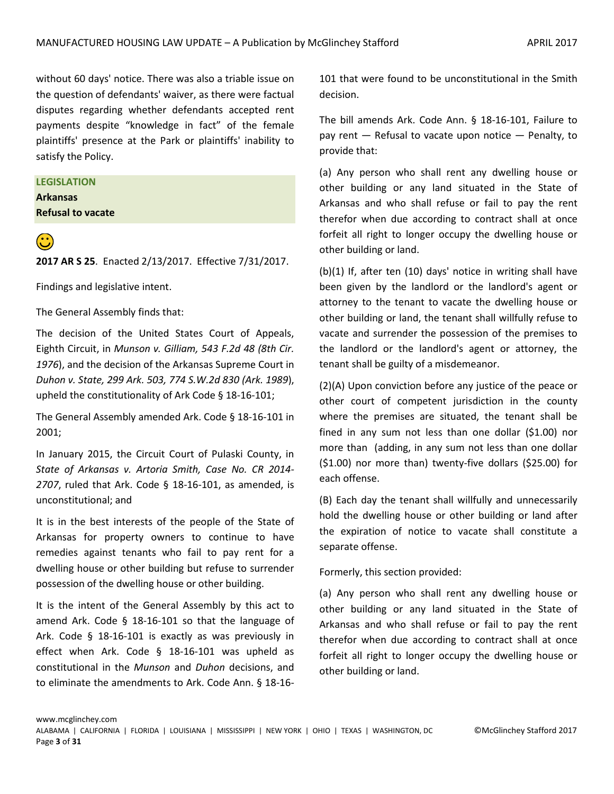without 60 days' notice. There was also a triable issue on the question of defendants' waiver, as there were factual disputes regarding whether defendants accepted rent payments despite "knowledge in fact" of the female plaintiffs' presence at the Park or plaintiffs' inability to satisfy the Policy.

# **LEGISLATION**

**Arkansas Refusal to vacate**



**(2)**<br>**2017 AR S 25**. Enacted 2/13/2017. Effective 7/31/2017.

Findings and legislative intent.

The General Assembly finds that:

The decision of the United States Court of Appeals, Eighth Circuit, in *Munson v. Gilliam, 543 F.2d 48 (8th Cir. 1976*), and the decision of the Arkansas Supreme Court in *Duhon v. State, 299 Ark. 503, 774 S.W.2d 830 (Ark. 1989*), upheld the constitutionality of Ark Code § 18-16-101;

The General Assembly amended Ark. Code § 18-16-101 in 2001;

In January 2015, the Circuit Court of Pulaski County, in *State of Arkansas v. Artoria Smith, Case No. CR 2014- 2707*, ruled that Ark. Code § 18-16-101, as amended, is unconstitutional; and

It is in the best interests of the people of the State of Arkansas for property owners to continue to have remedies against tenants who fail to pay rent for a dwelling house or other building but refuse to surrender possession of the dwelling house or other building.

It is the intent of the General Assembly by this act to amend Ark. Code § 18-16-101 so that the language of Ark. Code § 18-16-101 is exactly as was previously in effect when Ark. Code § 18-16-101 was upheld as constitutional in the *Munson* and *Duhon* decisions, and to eliminate the amendments to Ark. Code Ann. § 18-16101 that were found to be unconstitutional in the Smith decision.

The bill amends Ark. Code Ann. § 18-16-101, Failure to pay rent — Refusal to vacate upon notice — Penalty, to provide that:

(a) Any person who shall rent any dwelling house or other building or any land situated in the State of Arkansas and who shall refuse or fail to pay the rent therefor when due according to contract shall at once forfeit all right to longer occupy the dwelling house or other building or land.

(b)(1) If, after ten (10) days' notice in writing shall have been given by the landlord or the landlord's agent or attorney to the tenant to vacate the dwelling house or other building or land, the tenant shall willfully refuse to vacate and surrender the possession of the premises to the landlord or the landlord's agent or attorney, the tenant shall be guilty of a misdemeanor.

(2)(A) Upon conviction before any justice of the peace or other court of competent jurisdiction in the county where the premises are situated, the tenant shall be fined in any sum not less than one dollar (\$1.00) nor more than (adding, in any sum not less than one dollar (\$1.00) nor more than) twenty-five dollars (\$25.00) for each offense.

(B) Each day the tenant shall willfully and unnecessarily hold the dwelling house or other building or land after the expiration of notice to vacate shall constitute a separate offense.

Formerly, this section provided:

(a) Any person who shall rent any dwelling house or other building or any land situated in the State of Arkansas and who shall refuse or fail to pay the rent therefor when due according to contract shall at once forfeit all right to longer occupy the dwelling house or other building or land.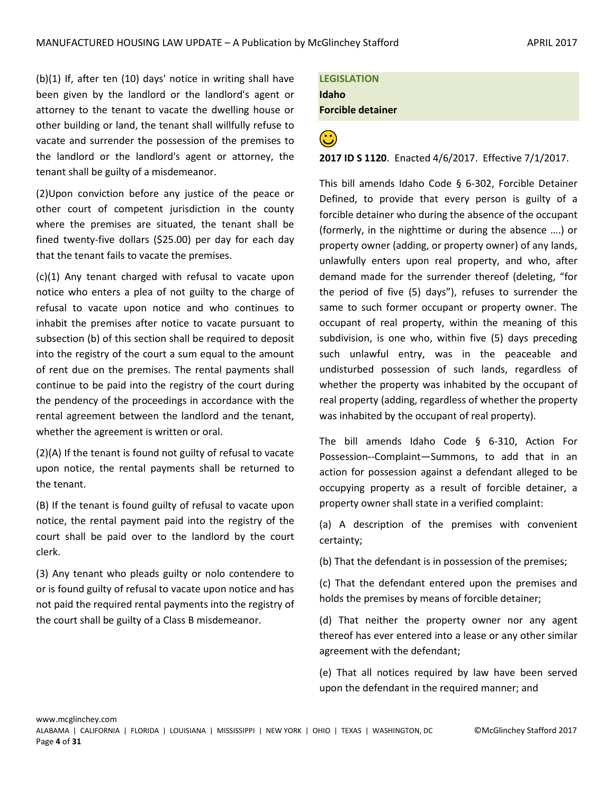(b)(1) If, after ten (10) days' notice in writing shall have been given by the landlord or the landlord's agent or attorney to the tenant to vacate the dwelling house or other building or land, the tenant shall willfully refuse to vacate and surrender the possession of the premises to the landlord or the landlord's agent or attorney, the tenant shall be guilty of a misdemeanor.

(2)Upon conviction before any justice of the peace or other court of competent jurisdiction in the county where the premises are situated, the tenant shall be fined twenty-five dollars (\$25.00) per day for each day that the tenant fails to vacate the premises.

(c)(1) Any tenant charged with refusal to vacate upon notice who enters a plea of not guilty to the charge of refusal to vacate upon notice and who continues to inhabit the premises after notice to vacate pursuant to subsection (b) of this section shall be required to deposit into the registry of the court a sum equal to the amount of rent due on the premises. The rental payments shall continue to be paid into the registry of the court during the pendency of the proceedings in accordance with the rental agreement between the landlord and the tenant, whether the agreement is written or oral.

(2)(A) If the tenant is found not guilty of refusal to vacate upon notice, the rental payments shall be returned to the tenant.

(B) If the tenant is found guilty of refusal to vacate upon notice, the rental payment paid into the registry of the court shall be paid over to the landlord by the court clerk.

(3) Any tenant who pleads guilty or nolo contendere to or is found guilty of refusal to vacate upon notice and has not paid the required rental payments into the registry of the court shall be guilty of a Class B misdemeanor.

**LEGISLATION Idaho Forcible detainer**

**<sup>2</sup>**<br>**2017 ID S 1120**. Enacted 4/6/2017. Effective 7/1/2017.

This bill amends Idaho Code § 6-302, Forcible Detainer Defined, to provide that every person is guilty of a forcible detainer who during the absence of the occupant (formerly, in the nighttime or during the absence ….) or property owner (adding, or property owner) of any lands, unlawfully enters upon real property, and who, after demand made for the surrender thereof (deleting, "for the period of five (5) days"), refuses to surrender the same to such former occupant or property owner. The occupant of real property, within the meaning of this subdivision, is one who, within five (5) days preceding such unlawful entry, was in the peaceable and undisturbed possession of such lands, regardless of whether the property was inhabited by the occupant of real property (adding, regardless of whether the property was inhabited by the occupant of real property).

The bill amends Idaho Code § 6-310, Action For Possession--Complaint—Summons, to add that in an action for possession against a defendant alleged to be occupying property as a result of forcible detainer, a property owner shall state in a verified complaint:

(a) A description of the premises with convenient certainty;

(b) That the defendant is in possession of the premises;

(c) That the defendant entered upon the premises and holds the premises by means of forcible detainer;

(d) That neither the property owner nor any agent thereof has ever entered into a lease or any other similar agreement with the defendant;

(e) That all notices required by law have been served upon the defendant in the required manner; and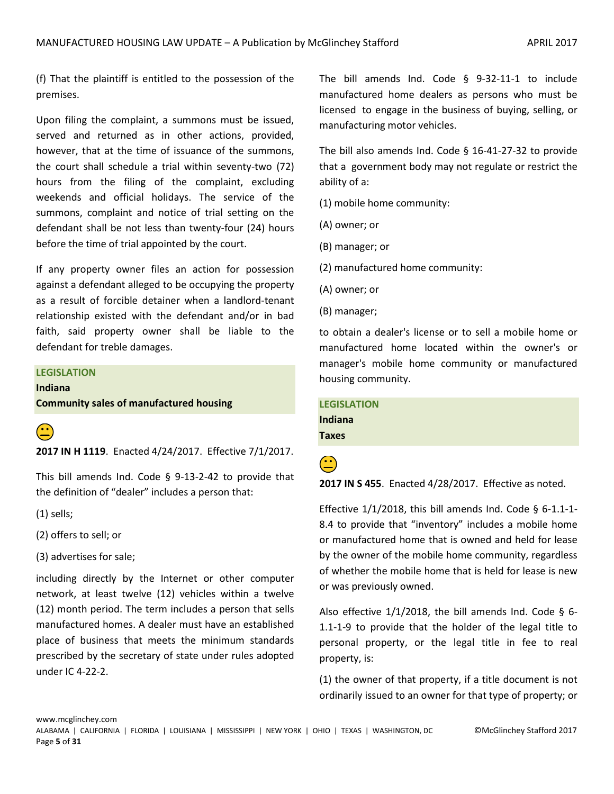(f) That the plaintiff is entitled to the possession of the premises.

Upon filing the complaint, a summons must be issued, served and returned as in other actions, provided, however, that at the time of issuance of the summons, the court shall schedule a trial within seventy-two (72) hours from the filing of the complaint, excluding weekends and official holidays. The service of the summons, complaint and notice of trial setting on the defendant shall be not less than twenty-four (24) hours before the time of trial appointed by the court.

If any property owner files an action for possession against a defendant alleged to be occupying the property as a result of forcible detainer when a landlord-tenant relationship existed with the defendant and/or in bad faith, said property owner shall be liable to the defendant for treble damages.

# **LEGISLATION**

**Indiana**

**Community sales of manufactured housing**



**2017 IN H 1119**. Enacted 4/24/2017. Effective 7/1/2017.

This bill amends Ind. Code § 9-13-2-42 to provide that the definition of "dealer" includes a person that:

(1) sells;

(2) offers to sell; or

(3) advertises for sale;

including directly by the Internet or other computer network, at least twelve (12) vehicles within a twelve (12) month period. The term includes a person that sells manufactured homes. A dealer must have an established place of business that meets the minimum standards prescribed by the secretary of state under rules adopted under IC 4-22-2.

The bill amends Ind. Code § 9-32-11-1 to include manufactured home dealers as persons who must be licensed to engage in the business of buying, selling, or manufacturing motor vehicles.

The bill also amends Ind. Code § 16-41-27-32 to provide that a government body may not regulate or restrict the ability of a:

(1) mobile home community:

- (A) owner; or
- (B) manager; or
- (2) manufactured home community:
- (A) owner; or
- (B) manager;

to obtain a dealer's license or to sell a mobile home or manufactured home located within the owner's or manager's mobile home community or manufactured housing community.

**LEGISLATION Indiana Taxes**



**(2017 IN S 455**. Enacted 4/28/2017. Effective as noted.

Effective  $1/1/2018$ , this bill amends Ind. Code § 6-1.1-1-8.4 to provide that "inventory" includes a mobile home or manufactured home that is owned and held for lease by the owner of the mobile home community, regardless of whether the mobile home that is held for lease is new or was previously owned.

Also effective  $1/1/2018$ , the bill amends Ind. Code § 6-1.1-1-9 to provide that the holder of the legal title to personal property, or the legal title in fee to real property, is:

(1) the owner of that property, if a title document is not ordinarily issued to an owner for that type of property; or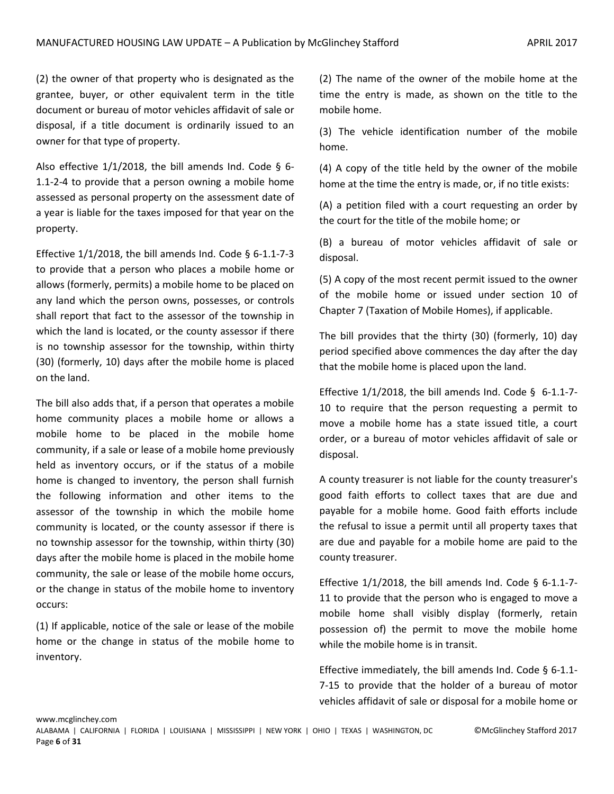(2) the owner of that property who is designated as the grantee, buyer, or other equivalent term in the title document or bureau of motor vehicles affidavit of sale or disposal, if a title document is ordinarily issued to an owner for that type of property.

Also effective  $1/1/2018$ , the bill amends Ind. Code § 6-1.1-2-4 to provide that a person owning a mobile home assessed as personal property on the assessment date of a year is liable for the taxes imposed for that year on the property.

Effective  $1/1/2018$ , the bill amends Ind. Code § 6-1.1-7-3 to provide that a person who places a mobile home or allows (formerly, permits) a mobile home to be placed on any land which the person owns, possesses, or controls shall report that fact to the assessor of the township in which the land is located, or the county assessor if there is no township assessor for the township, within thirty (30) (formerly, 10) days after the mobile home is placed on the land.

The bill also adds that, if a person that operates a mobile home community places a mobile home or allows a mobile home to be placed in the mobile home community, if a sale or lease of a mobile home previously held as inventory occurs, or if the status of a mobile home is changed to inventory, the person shall furnish the following information and other items to the assessor of the township in which the mobile home community is located, or the county assessor if there is no township assessor for the township, within thirty (30) days after the mobile home is placed in the mobile home community, the sale or lease of the mobile home occurs, or the change in status of the mobile home to inventory occurs:

(1) If applicable, notice of the sale or lease of the mobile home or the change in status of the mobile home to inventory.

(2) The name of the owner of the mobile home at the time the entry is made, as shown on the title to the mobile home.

(3) The vehicle identification number of the mobile home.

(4) A copy of the title held by the owner of the mobile home at the time the entry is made, or, if no title exists:

(A) a petition filed with a court requesting an order by the court for the title of the mobile home; or

(B) a bureau of motor vehicles affidavit of sale or disposal.

(5) A copy of the most recent permit issued to the owner of the mobile home or issued under section 10 of Chapter 7 (Taxation of Mobile Homes), if applicable.

The bill provides that the thirty (30) (formerly, 10) day period specified above commences the day after the day that the mobile home is placed upon the land.

Effective  $1/1/2018$ , the bill amends Ind. Code § 6-1.1-7-10 to require that the person requesting a permit to move a mobile home has a state issued title, a court order, or a bureau of motor vehicles affidavit of sale or disposal.

A county treasurer is not liable for the county treasurer's good faith efforts to collect taxes that are due and payable for a mobile home. Good faith efforts include the refusal to issue a permit until all property taxes that are due and payable for a mobile home are paid to the county treasurer.

Effective  $1/1/2018$ , the bill amends Ind. Code § 6-1.1-7-11 to provide that the person who is engaged to move a mobile home shall visibly display (formerly, retain possession of) the permit to move the mobile home while the mobile home is in transit.

Effective immediately, the bill amends Ind. Code § 6-1.1- 7-15 to provide that the holder of a bureau of motor vehicles affidavit of sale or disposal for a mobile home or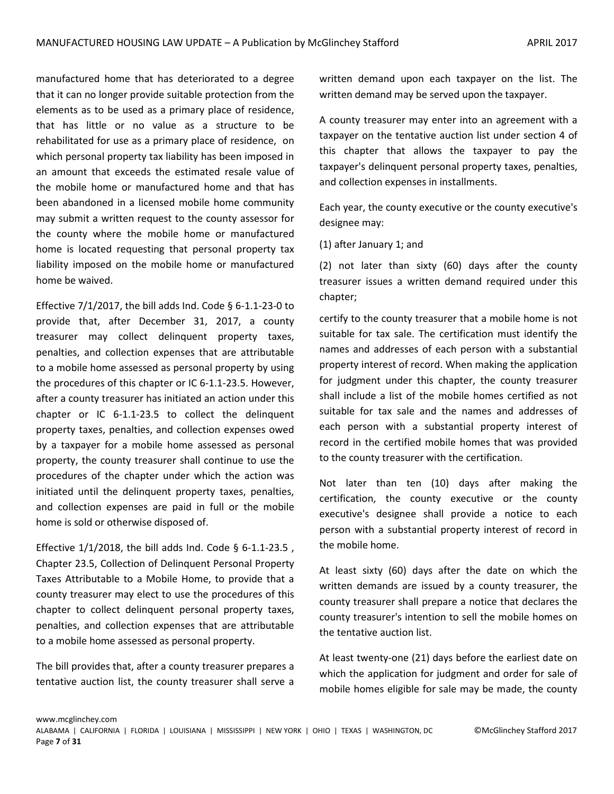manufactured home that has deteriorated to a degree that it can no longer provide suitable protection from the elements as to be used as a primary place of residence, that has little or no value as a structure to be rehabilitated for use as a primary place of residence, on which personal property tax liability has been imposed in an amount that exceeds the estimated resale value of the mobile home or manufactured home and that has been abandoned in a licensed mobile home community may submit a written request to the county assessor for the county where the mobile home or manufactured home is located requesting that personal property tax liability imposed on the mobile home or manufactured home be waived.

Effective  $7/1/2017$ , the bill adds Ind. Code § 6-1.1-23-0 to provide that, after December 31, 2017, a county treasurer may collect delinquent property taxes, penalties, and collection expenses that are attributable to a mobile home assessed as personal property by using the procedures of this chapter or IC 6-1.1-23.5. However, after a county treasurer has initiated an action under this chapter or IC 6-1.1-23.5 to collect the delinquent property taxes, penalties, and collection expenses owed by a taxpayer for a mobile home assessed as personal property, the county treasurer shall continue to use the procedures of the chapter under which the action was initiated until the delinquent property taxes, penalties, and collection expenses are paid in full or the mobile home is sold or otherwise disposed of.

Effective 1/1/2018, the bill adds Ind. Code § 6-1.1-23.5 , Chapter 23.5, Collection of Delinquent Personal Property Taxes Attributable to a Mobile Home, to provide that a county treasurer may elect to use the procedures of this chapter to collect delinquent personal property taxes, penalties, and collection expenses that are attributable to a mobile home assessed as personal property.

The bill provides that, after a county treasurer prepares a tentative auction list, the county treasurer shall serve a

written demand upon each taxpayer on the list. The written demand may be served upon the taxpayer.

A county treasurer may enter into an agreement with a taxpayer on the tentative auction list under section 4 of this chapter that allows the taxpayer to pay the taxpayer's delinquent personal property taxes, penalties, and collection expenses in installments.

Each year, the county executive or the county executive's designee may:

(1) after January 1; and

(2) not later than sixty (60) days after the county treasurer issues a written demand required under this chapter;

certify to the county treasurer that a mobile home is not suitable for tax sale. The certification must identify the names and addresses of each person with a substantial property interest of record. When making the application for judgment under this chapter, the county treasurer shall include a list of the mobile homes certified as not suitable for tax sale and the names and addresses of each person with a substantial property interest of record in the certified mobile homes that was provided to the county treasurer with the certification.

Not later than ten (10) days after making the certification, the county executive or the county executive's designee shall provide a notice to each person with a substantial property interest of record in the mobile home.

At least sixty (60) days after the date on which the written demands are issued by a county treasurer, the county treasurer shall prepare a notice that declares the county treasurer's intention to sell the mobile homes on the tentative auction list.

At least twenty-one (21) days before the earliest date on which the application for judgment and order for sale of mobile homes eligible for sale may be made, the county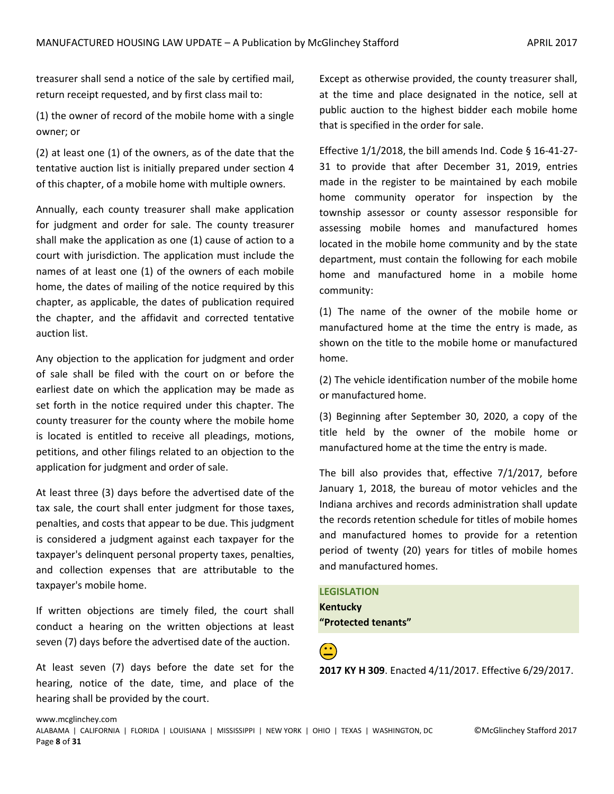treasurer shall send a notice of the sale by certified mail, return receipt requested, and by first class mail to:

(1) the owner of record of the mobile home with a single owner; or

(2) at least one (1) of the owners, as of the date that the tentative auction list is initially prepared under section 4 of this chapter, of a mobile home with multiple owners.

Annually, each county treasurer shall make application for judgment and order for sale. The county treasurer shall make the application as one (1) cause of action to a court with jurisdiction. The application must include the names of at least one (1) of the owners of each mobile home, the dates of mailing of the notice required by this chapter, as applicable, the dates of publication required the chapter, and the affidavit and corrected tentative auction list.

Any objection to the application for judgment and order of sale shall be filed with the court on or before the earliest date on which the application may be made as set forth in the notice required under this chapter. The county treasurer for the county where the mobile home is located is entitled to receive all pleadings, motions, petitions, and other filings related to an objection to the application for judgment and order of sale.

At least three (3) days before the advertised date of the tax sale, the court shall enter judgment for those taxes, penalties, and costs that appear to be due. This judgment is considered a judgment against each taxpayer for the taxpayer's delinquent personal property taxes, penalties, and collection expenses that are attributable to the taxpayer's mobile home.

If written objections are timely filed, the court shall conduct a hearing on the written objections at least seven (7) days before the advertised date of the auction.

At least seven (7) days before the date set for the hearing, notice of the date, time, and place of the hearing shall be provided by the court.

Except as otherwise provided, the county treasurer shall, at the time and place designated in the notice, sell at public auction to the highest bidder each mobile home that is specified in the order for sale.

Effective 1/1/2018, the bill amends Ind. Code § 16-41-27- 31 to provide that after December 31, 2019, entries made in the register to be maintained by each mobile home community operator for inspection by the township assessor or county assessor responsible for assessing mobile homes and manufactured homes located in the mobile home community and by the state department, must contain the following for each mobile home and manufactured home in a mobile home community:

(1) The name of the owner of the mobile home or manufactured home at the time the entry is made, as shown on the title to the mobile home or manufactured home.

(2) The vehicle identification number of the mobile home or manufactured home.

(3) Beginning after September 30, 2020, a copy of the title held by the owner of the mobile home or manufactured home at the time the entry is made.

The bill also provides that, effective 7/1/2017, before January 1, 2018, the bureau of motor vehicles and the Indiana archives and records administration shall update the records retention schedule for titles of mobile homes and manufactured homes to provide for a retention period of twenty (20) years for titles of mobile homes and manufactured homes.

**LEGISLATION Kentucky "Protected tenants"**

 **2017 KY H 309**. Enacted 4/11/2017. Effective 6/29/2017.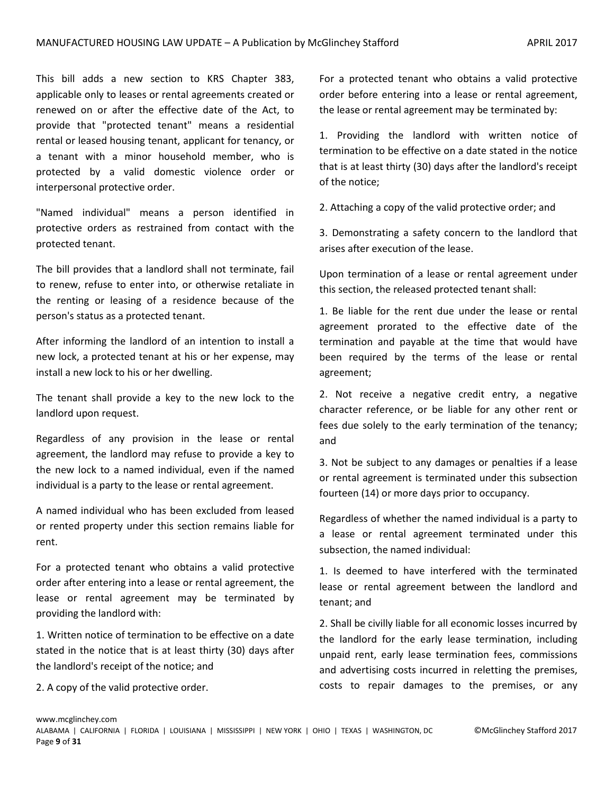This bill adds a new section to KRS Chapter 383, applicable only to leases or rental agreements created or renewed on or after the effective date of the Act, to provide that "protected tenant" means a residential rental or leased housing tenant, applicant for tenancy, or a tenant with a minor household member, who is protected by a valid domestic violence order or interpersonal protective order.

"Named individual" means a person identified in protective orders as restrained from contact with the protected tenant.

The bill provides that a landlord shall not terminate, fail to renew, refuse to enter into, or otherwise retaliate in the renting or leasing of a residence because of the person's status as a protected tenant.

After informing the landlord of an intention to install a new lock, a protected tenant at his or her expense, may install a new lock to his or her dwelling.

The tenant shall provide a key to the new lock to the landlord upon request.

Regardless of any provision in the lease or rental agreement, the landlord may refuse to provide a key to the new lock to a named individual, even if the named individual is a party to the lease or rental agreement.

A named individual who has been excluded from leased or rented property under this section remains liable for rent.

For a protected tenant who obtains a valid protective order after entering into a lease or rental agreement, the lease or rental agreement may be terminated by providing the landlord with:

1. Written notice of termination to be effective on a date stated in the notice that is at least thirty (30) days after the landlord's receipt of the notice; and

2. A copy of the valid protective order.

For a protected tenant who obtains a valid protective order before entering into a lease or rental agreement, the lease or rental agreement may be terminated by:

1. Providing the landlord with written notice of termination to be effective on a date stated in the notice that is at least thirty (30) days after the landlord's receipt of the notice;

2. Attaching a copy of the valid protective order; and

3. Demonstrating a safety concern to the landlord that arises after execution of the lease.

Upon termination of a lease or rental agreement under this section, the released protected tenant shall:

1. Be liable for the rent due under the lease or rental agreement prorated to the effective date of the termination and payable at the time that would have been required by the terms of the lease or rental agreement;

2. Not receive a negative credit entry, a negative character reference, or be liable for any other rent or fees due solely to the early termination of the tenancy; and

3. Not be subject to any damages or penalties if a lease or rental agreement is terminated under this subsection fourteen (14) or more days prior to occupancy.

Regardless of whether the named individual is a party to a lease or rental agreement terminated under this subsection, the named individual:

1. Is deemed to have interfered with the terminated lease or rental agreement between the landlord and tenant; and

2. Shall be civilly liable for all economic losses incurred by the landlord for the early lease termination, including unpaid rent, early lease termination fees, commissions and advertising costs incurred in reletting the premises, costs to repair damages to the premises, or any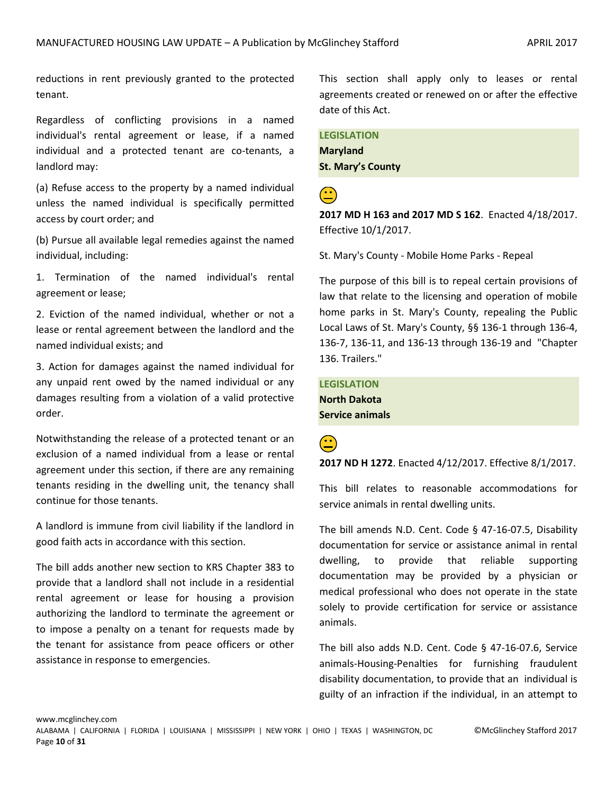reductions in rent previously granted to the protected tenant.

Regardless of conflicting provisions in a named individual's rental agreement or lease, if a named individual and a protected tenant are co-tenants, a landlord may:

(a) Refuse access to the property by a named individual unless the named individual is specifically permitted access by court order; and

(b) Pursue all available legal remedies against the named individual, including:

1. Termination of the named individual's rental agreement or lease;

2. Eviction of the named individual, whether or not a lease or rental agreement between the landlord and the named individual exists; and

3. Action for damages against the named individual for any unpaid rent owed by the named individual or any damages resulting from a violation of a valid protective order.

Notwithstanding the release of a protected tenant or an exclusion of a named individual from a lease or rental agreement under this section, if there are any remaining tenants residing in the dwelling unit, the tenancy shall continue for those tenants.

A landlord is immune from civil liability if the landlord in good faith acts in accordance with this section.

The bill adds another new section to KRS Chapter 383 to provide that a landlord shall not include in a residential rental agreement or lease for housing a provision authorizing the landlord to terminate the agreement or to impose a penalty on a tenant for requests made by the tenant for assistance from peace officers or other assistance in response to emergencies.

This section shall apply only to leases or rental agreements created or renewed on or after the effective date of this Act.

**LEGISLATION Maryland St. Mary's County**

 **2017 MD H 163 and 2017 MD S 162**. Enacted 4/18/2017. Effective 10/1/2017.

St. Mary's County - Mobile Home Parks - Repeal

The purpose of this bill is to repeal certain provisions of law that relate to the licensing and operation of mobile home parks in St. Mary's County, repealing the Public Local Laws of St. Mary's County, §§ 136-1 through 136-4, 136-7, 136-11, and 136-13 through 136-19 and "Chapter 136. Trailers."

**LEGISLATION North Dakota Service animals**

 **2017 ND H 1272**. Enacted 4/12/2017. Effective 8/1/2017.

This bill relates to reasonable accommodations for service animals in rental dwelling units.

The bill amends N.D. Cent. Code § 47-16-07.5, Disability documentation for service or assistance animal in rental dwelling, to provide that reliable supporting documentation may be provided by a physician or medical professional who does not operate in the state solely to provide certification for service or assistance animals.

The bill also adds N.D. Cent. Code § 47-16-07.6, Service animals-Housing-Penalties for furnishing fraudulent disability documentation, to provide that an individual is guilty of an infraction if the individual, in an attempt to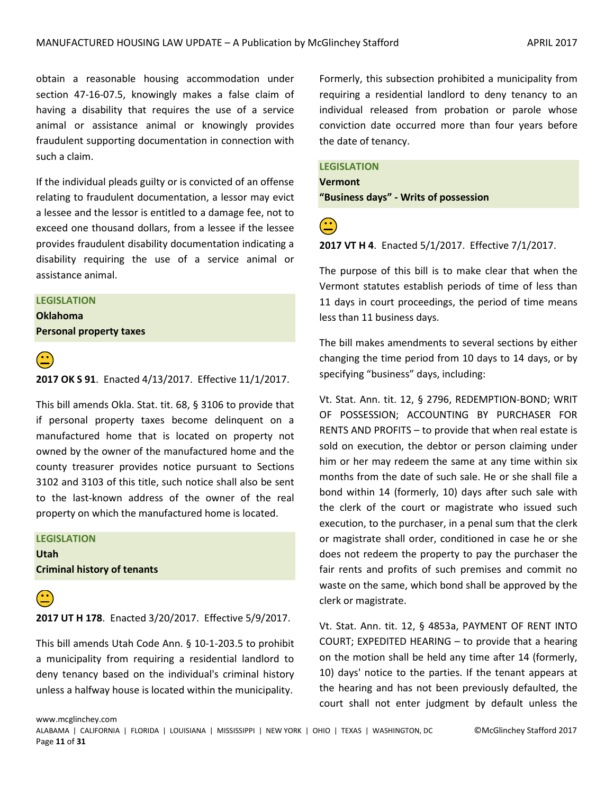obtain a reasonable housing accommodation under section 47-16-07.5, knowingly makes a false claim of having a disability that requires the use of a service animal or assistance animal or knowingly provides fraudulent supporting documentation in connection with such a claim.

If the individual pleads guilty or is convicted of an offense relating to fraudulent documentation, a lessor may evict a lessee and the lessor is entitled to a damage fee, not to exceed one thousand dollars, from a lessee if the lessee provides fraudulent disability documentation indicating a disability requiring the use of a service animal or assistance animal.

#### **LEGISLATION**

**Oklahoma Personal property taxes**



**(<u><sup>23</sup></u>)**<br>**2017 OK S 91**. Enacted 4/13/2017. Effective 11/1/2017.

This bill amends Okla. Stat. tit. 68, § 3106 to provide that if personal property taxes become delinquent on a manufactured home that is located on property not owned by the owner of the manufactured home and the county treasurer provides notice pursuant to Sections 3102 and 3103 of this title, such notice shall also be sent to the last-known address of the owner of the real property on which the manufactured home is located.

#### **LEGISLATION**

**Utah Criminal history of tenants**



### **2017 UT H 178**. Enacted 3/20/2017. Effective 5/9/2017.

This bill amends Utah Code Ann. § 10-1-203.5 to prohibit a municipality from requiring a residential landlord to deny tenancy based on the individual's criminal history unless a halfway house is located within the municipality.

Formerly, this subsection prohibited a municipality from requiring a residential landlord to deny tenancy to an individual released from probation or parole whose conviction date occurred more than four years before the date of tenancy.

### **LEGISLATION**

**Vermont**

**"Business days" - Writs of possession**

#### **2017 VT H 4**. Enacted 5/1/2017. Effective 7/1/2017.

The purpose of this bill is to make clear that when the Vermont statutes establish periods of time of less than 11 days in court proceedings, the period of time means less than 11 business days.

The bill makes amendments to several sections by either changing the time period from 10 days to 14 days, or by specifying "business" days, including:

Vt. Stat. Ann. tit. 12, § 2796, REDEMPTION-BOND; WRIT OF POSSESSION; ACCOUNTING BY PURCHASER FOR RENTS AND PROFITS – to provide that when real estate is sold on execution, the debtor or person claiming under him or her may redeem the same at any time within six months from the date of such sale. He or she shall file a bond within 14 (formerly, 10) days after such sale with the clerk of the court or magistrate who issued such execution, to the purchaser, in a penal sum that the clerk or magistrate shall order, conditioned in case he or she does not redeem the property to pay the purchaser the fair rents and profits of such premises and commit no waste on the same, which bond shall be approved by the clerk or magistrate.

Vt. Stat. Ann. tit. 12, § 4853a, PAYMENT OF RENT INTO COURT; EXPEDITED HEARING – to provide that a hearing on the motion shall be held any time after 14 (formerly, 10) days' notice to the parties. If the tenant appears at the hearing and has not been previously defaulted, the court shall not enter judgment by default unless the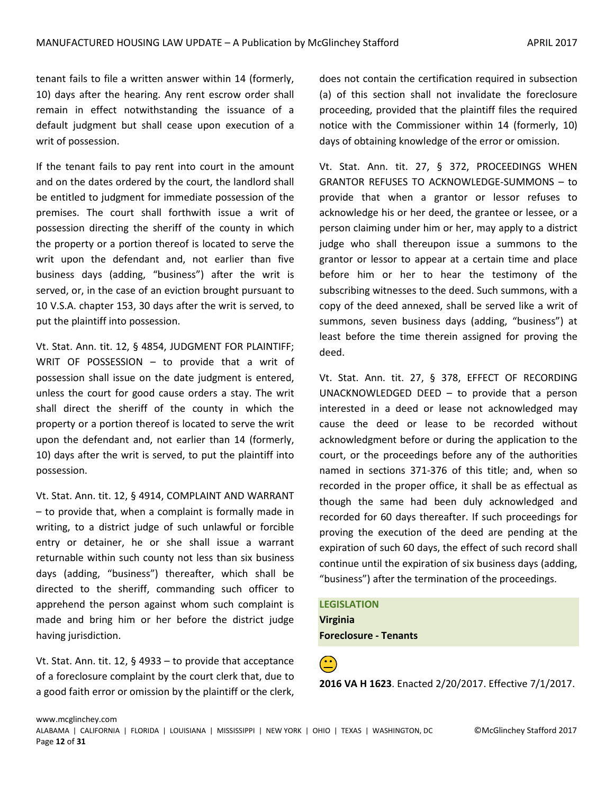tenant fails to file a written answer within 14 (formerly, 10) days after the hearing. Any rent escrow order shall remain in effect notwithstanding the issuance of a default judgment but shall cease upon execution of a writ of possession.

If the tenant fails to pay rent into court in the amount and on the dates ordered by the court, the landlord shall be entitled to judgment for immediate possession of the premises. The court shall forthwith issue a writ of possession directing the sheriff of the county in which the property or a portion thereof is located to serve the writ upon the defendant and, not earlier than five business days (adding, "business") after the writ is served, or, in the case of an eviction brought pursuant to 10 V.S.A. chapter 153, 30 days after the writ is served, to put the plaintiff into possession.

Vt. Stat. Ann. tit. 12, § 4854, JUDGMENT FOR PLAINTIFF; WRIT OF POSSESSION – to provide that a writ of possession shall issue on the date judgment is entered, unless the court for good cause orders a stay. The writ shall direct the sheriff of the county in which the property or a portion thereof is located to serve the writ upon the defendant and, not earlier than 14 (formerly, 10) days after the writ is served, to put the plaintiff into possession.

Vt. Stat. Ann. tit. 12, § 4914, COMPLAINT AND WARRANT – to provide that, when a complaint is formally made in writing, to a district judge of such unlawful or forcible entry or detainer, he or she shall issue a warrant returnable within such county not less than six business days (adding, "business") thereafter, which shall be directed to the sheriff, commanding such officer to apprehend the person against whom such complaint is made and bring him or her before the district judge having jurisdiction.

Vt. Stat. Ann. tit. 12, § 4933 – to provide that acceptance of a foreclosure complaint by the court clerk that, due to a good faith error or omission by the plaintiff or the clerk, does not contain the certification required in subsection (a) of this section shall not invalidate the foreclosure proceeding, provided that the plaintiff files the required notice with the Commissioner within 14 (formerly, 10) days of obtaining knowledge of the error or omission.

Vt. Stat. Ann. tit. 27, § 372, PROCEEDINGS WHEN GRANTOR REFUSES TO ACKNOWLEDGE-SUMMONS – to provide that when a grantor or lessor refuses to acknowledge his or her deed, the grantee or lessee, or a person claiming under him or her, may apply to a district judge who shall thereupon issue a summons to the grantor or lessor to appear at a certain time and place before him or her to hear the testimony of the subscribing witnesses to the deed. Such summons, with a copy of the deed annexed, shall be served like a writ of summons, seven business days (adding, "business") at least before the time therein assigned for proving the deed.

Vt. Stat. Ann. tit. 27, § 378, EFFECT OF RECORDING UNACKNOWLEDGED DEED – to provide that a person interested in a deed or lease not acknowledged may cause the deed or lease to be recorded without acknowledgment before or during the application to the court, or the proceedings before any of the authorities named in sections 371-376 of this title; and, when so recorded in the proper office, it shall be as effectual as though the same had been duly acknowledged and recorded for 60 days thereafter. If such proceedings for proving the execution of the deed are pending at the expiration of such 60 days, the effect of such record shall continue until the expiration of six business days (adding, "business") after the termination of the proceedings.

**LEGISLATION Virginia Foreclosure - Tenants**

**(<u>2)</u>**<br>2016 VA H 1623. Enacted 2/20/2017. Effective 7/1/2017.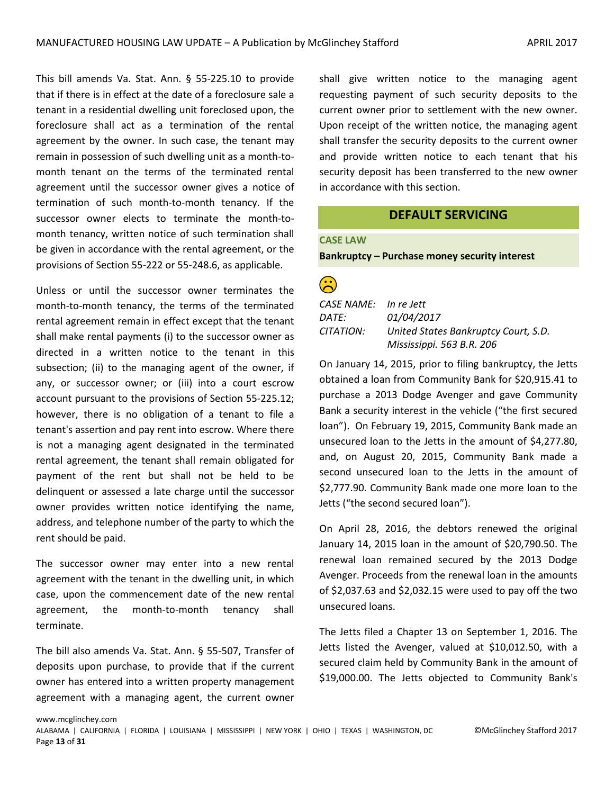This bill amends Va. Stat. Ann. § 55-225.10 to provide that if there is in effect at the date of a foreclosure sale a tenant in a residential dwelling unit foreclosed upon, the foreclosure shall act as a termination of the rental agreement by the owner. In such case, the tenant may remain in possession of such dwelling unit as a month-tomonth tenant on the terms of the terminated rental agreement until the successor owner gives a notice of termination of such month-to-month tenancy. If the successor owner elects to terminate the month-tomonth tenancy, written notice of such termination shall be given in accordance with the rental agreement, or the provisions of Section 55-222 or 55-248.6, as applicable.

Unless or until the successor owner terminates the month-to-month tenancy, the terms of the terminated rental agreement remain in effect except that the tenant shall make rental payments (i) to the successor owner as directed in a written notice to the tenant in this subsection; (ii) to the managing agent of the owner, if any, or successor owner; or (iii) into a court escrow account pursuant to the provisions of Section 55-225.12; however, there is no obligation of a tenant to file a tenant's assertion and pay rent into escrow. Where there is not a managing agent designated in the terminated rental agreement, the tenant shall remain obligated for payment of the rent but shall not be held to be delinquent or assessed a late charge until the successor owner provides written notice identifying the name, address, and telephone number of the party to which the rent should be paid.

The successor owner may enter into a new rental agreement with the tenant in the dwelling unit, in which case, upon the commencement date of the new rental agreement, the month-to-month tenancy shall terminate.

The bill also amends Va. Stat. Ann. § 55-507, Transfer of deposits upon purchase, to provide that if the current owner has entered into a written property management agreement with a managing agent, the current owner

shall give written notice to the managing agent requesting payment of such security deposits to the current owner prior to settlement with the new owner. Upon receipt of the written notice, the managing agent shall transfer the security deposits to the current owner and provide written notice to each tenant that his security deposit has been transferred to the new owner in accordance with this section.

# **DEFAULT SERVICING**

# <span id="page-12-0"></span>**CASE LAW**

**Bankruptcy – Purchase money security interest** 

# $\left( \frac{1}{2} \right)$

| CASE NAME: In re Jett |                                      |
|-----------------------|--------------------------------------|
| DATE:                 | 01/04/2017                           |
| CITATION:             | United States Bankruptcy Court, S.D. |
|                       | Mississippi. 563 B.R. 206            |

On January 14, 2015, prior to filing bankruptcy, the Jetts obtained a loan from Community Bank for \$20,915.41 to purchase a 2013 Dodge Avenger and gave Community Bank a security interest in the vehicle ("the first secured loan"). On February 19, 2015, Community Bank made an unsecured loan to the Jetts in the amount of \$4,277.80, and, on August 20, 2015, Community Bank made a second unsecured loan to the Jetts in the amount of \$2,777.90. Community Bank made one more loan to the Jetts ("the second secured loan").

On April 28, 2016, the debtors renewed the original January 14, 2015 loan in the amount of \$20,790.50. The renewal loan remained secured by the 2013 Dodge Avenger. Proceeds from the renewal loan in the amounts of \$2,037.63 and \$2,032.15 were used to pay off the two unsecured loans.

The Jetts filed a Chapter 13 on September 1, 2016. The Jetts listed the Avenger, valued at \$10,012.50, with a secured claim held by Community Bank in the amount of \$19,000.00. The Jetts objected to Community Bank's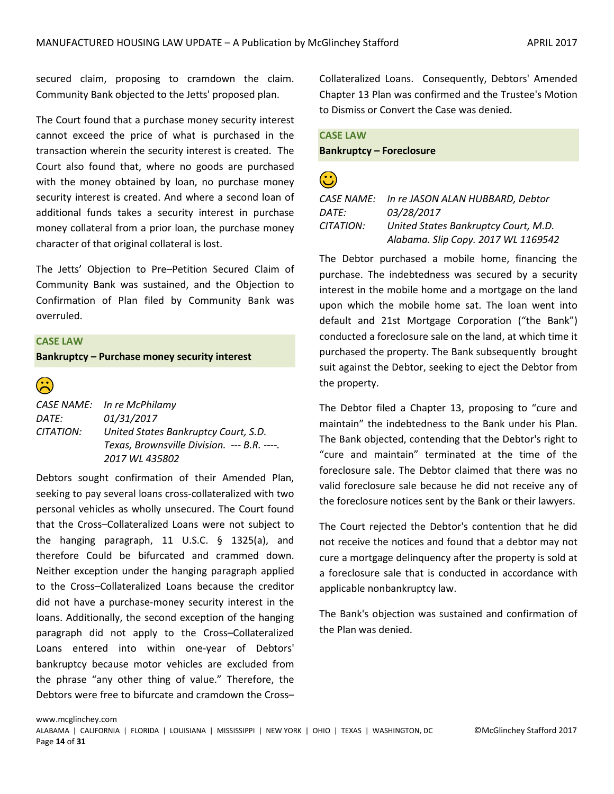secured claim, proposing to cramdown the claim. Community Bank objected to the Jetts' proposed plan.

The Court found that a purchase money security interest cannot exceed the price of what is purchased in the transaction wherein the security interest is created. The Court also found that, where no goods are purchased with the money obtained by loan, no purchase money security interest is created. And where a second loan of additional funds takes a security interest in purchase money collateral from a prior loan, the purchase money character of that original collateral is lost.

The Jetts' Objection to Pre–Petition Secured Claim of Community Bank was sustained, and the Objection to Confirmation of Plan filed by Community Bank was overruled.

### **CASE LAW**

**Bankruptcy – Purchase money security interest**



*CASE NAME: In re McPhilamy DATE: 01/31/2017 CITATION: United States Bankruptcy Court, S.D. Texas, Brownsville Division. --- B.R. ----. 2017 WL 435802*

Debtors sought confirmation of their Amended Plan, seeking to pay several loans cross-collateralized with two personal vehicles as wholly unsecured. The Court found that the Cross–Collateralized Loans were not subject to the hanging paragraph, 11 U.S.C. § 1325(a), and therefore Could be bifurcated and crammed down. Neither exception under the hanging paragraph applied to the Cross–Collateralized Loans because the creditor did not have a purchase-money security interest in the loans. Additionally, the second exception of the hanging paragraph did not apply to the Cross–Collateralized Loans entered into within one-year of Debtors' bankruptcy because motor vehicles are excluded from the phrase "any other thing of value." Therefore, the Debtors were free to bifurcate and cramdown the Cross–

Collateralized Loans. Consequently, Debtors' Amended Chapter 13 Plan was confirmed and the Trustee's Motion to Dismiss or Convert the Case was denied.

| <b>CASE LAW</b>                 |
|---------------------------------|
| <b>Bankruptcy - Foreclosure</b> |

# $\mathbf{\hat{c}}$

*CASE NAME: In re JASON ALAN HUBBARD, Debtor DATE: 03/28/2017 CITATION: United States Bankruptcy Court, M.D. Alabama. Slip Copy. 2017 WL 1169542*

The Debtor purchased a mobile home, financing the purchase. The indebtedness was secured by a security interest in the mobile home and a mortgage on the land upon which the mobile home sat. The loan went into default and 21st Mortgage Corporation ("the Bank") conducted a foreclosure sale on the land, at which time it purchased the property. The Bank subsequently brought suit against the Debtor, seeking to eject the Debtor from the property.

The Debtor filed a Chapter 13, proposing to "cure and maintain" the indebtedness to the Bank under his Plan. The Bank objected, contending that the Debtor's right to "cure and maintain" terminated at the time of the foreclosure sale. The Debtor claimed that there was no valid foreclosure sale because he did not receive any of the foreclosure notices sent by the Bank or their lawyers.

The Court rejected the Debtor's contention that he did not receive the notices and found that a debtor may not cure a mortgage delinquency after the property is sold at a foreclosure sale that is conducted in accordance with applicable nonbankruptcy law.

The Bank's objection was sustained and confirmation of the Plan was denied.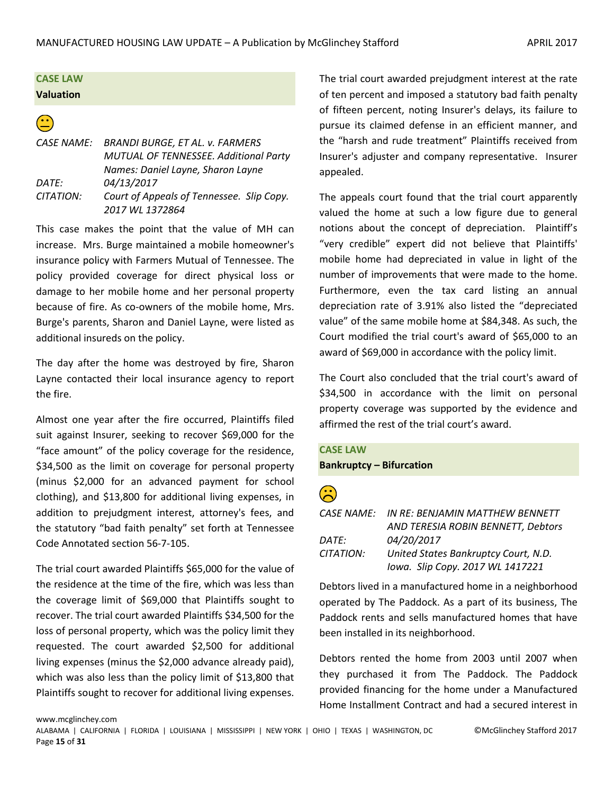# **CASE LAW Valuation**

# $\bigodot$

*CASE NAME: BRANDI BURGE, ET AL. v. FARMERS MUTUAL OF TENNESSEE. Additional Party Names: Daniel Layne, Sharon Layne DATE: 04/13/2017 CITATION: Court of Appeals of Tennessee. Slip Copy. 2017 WL 1372864*

This case makes the point that the value of MH can increase. Mrs. Burge maintained a mobile homeowner's insurance policy with Farmers Mutual of Tennessee. The policy provided coverage for direct physical loss or damage to her mobile home and her personal property because of fire. As co-owners of the mobile home, Mrs. Burge's parents, Sharon and Daniel Layne, were listed as additional insureds on the policy.

The day after the home was destroyed by fire, Sharon Layne contacted their local insurance agency to report the fire.

Almost one year after the fire occurred, Plaintiffs filed suit against Insurer, seeking to recover \$69,000 for the "face amount" of the policy coverage for the residence, \$34,500 as the limit on coverage for personal property (minus \$2,000 for an advanced payment for school clothing), and \$13,800 for additional living expenses, in addition to prejudgment interest, attorney's fees, and the statutory "bad faith penalty" set forth at Tennessee Code Annotated section 56-7-105.

The trial court awarded Plaintiffs \$65,000 for the value of the residence at the time of the fire, which was less than the coverage limit of \$69,000 that Plaintiffs sought to recover. The trial court awarded Plaintiffs \$34,500 for the loss of personal property, which was the policy limit they requested. The court awarded \$2,500 for additional living expenses (minus the \$2,000 advance already paid), which was also less than the policy limit of \$13,800 that Plaintiffs sought to recover for additional living expenses.

www.mcglinchey.com

The trial court awarded prejudgment interest at the rate of ten percent and imposed a statutory bad faith penalty of fifteen percent, noting Insurer's delays, its failure to pursue its claimed defense in an efficient manner, and the "harsh and rude treatment" Plaintiffs received from Insurer's adjuster and company representative. Insurer appealed.

The appeals court found that the trial court apparently valued the home at such a low figure due to general notions about the concept of depreciation. Plaintiff's "very credible" expert did not believe that Plaintiffs' mobile home had depreciated in value in light of the number of improvements that were made to the home. Furthermore, even the tax card listing an annual depreciation rate of 3.91% also listed the "depreciated value" of the same mobile home at \$84,348. As such, the Court modified the trial court's award of \$65,000 to an award of \$69,000 in accordance with the policy limit.

The Court also concluded that the trial court's award of \$34,500 in accordance with the limit on personal property coverage was supported by the evidence and affirmed the rest of the trial court's award.

# **CASE LAW**

### **Bankruptcy – Bifurcation**

# $\mathbf{\hat{c}}$

|                  | CASE NAME:     IN RE: BENJAMIN MATTHEW BENNETT |
|------------------|------------------------------------------------|
|                  | AND TERESIA ROBIN BENNETT, Debtors             |
| DATF:            | 04/20/2017                                     |
| <i>CITATION:</i> | United States Bankruptcy Court, N.D.           |
|                  | Iowa. Slip Copy. 2017 WL 1417221               |

Debtors lived in a manufactured home in a neighborhood operated by The Paddock. As a part of its business, The Paddock rents and sells manufactured homes that have been installed in its neighborhood.

Debtors rented the home from 2003 until 2007 when they purchased it from The Paddock. The Paddock provided financing for the home under a Manufactured Home Installment Contract and had a secured interest in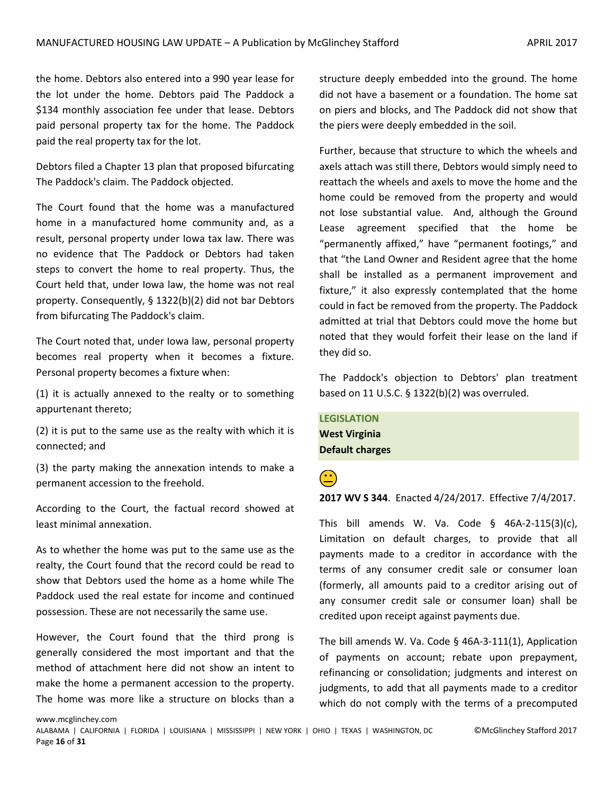the home. Debtors also entered into a 990 year lease for the lot under the home. Debtors paid The Paddock a \$134 monthly association fee under that lease. Debtors paid personal property tax for the home. The Paddock paid the real property tax for the lot.

Debtors filed a Chapter 13 plan that proposed bifurcating The Paddock's claim. The Paddock objected.

The Court found that the home was a manufactured home in a manufactured home community and, as a result, personal property under Iowa tax law. There was no evidence that The Paddock or Debtors had taken steps to convert the home to real property. Thus, the Court held that, under Iowa law, the home was not real property. Consequently, § 1322(b)(2) did not bar Debtors from bifurcating The Paddock's claim.

The Court noted that, under Iowa law, personal property becomes real property when it becomes a fixture. Personal property becomes a fixture when:

(1) it is actually annexed to the realty or to something appurtenant thereto;

(2) it is put to the same use as the realty with which it is connected; and

(3) the party making the annexation intends to make a permanent accession to the freehold.

According to the Court, the factual record showed at least minimal annexation.

As to whether the home was put to the same use as the realty, the Court found that the record could be read to show that Debtors used the home as a home while The Paddock used the real estate for income and continued possession. These are not necessarily the same use.

However, the Court found that the third prong is generally considered the most important and that the method of attachment here did not show an intent to make the home a permanent accession to the property. The home was more like a structure on blocks than a

structure deeply embedded into the ground. The home did not have a basement or a foundation. The home sat on piers and blocks, and The Paddock did not show that the piers were deeply embedded in the soil.

Further, because that structure to which the wheels and axels attach was still there, Debtors would simply need to reattach the wheels and axels to move the home and the home could be removed from the property and would not lose substantial value. And, although the Ground Lease agreement specified that the home be "permanently affixed," have "permanent footings," and that "the Land Owner and Resident agree that the home shall be installed as a permanent improvement and fixture," it also expressly contemplated that the home could in fact be removed from the property. The Paddock admitted at trial that Debtors could move the home but noted that they would forfeit their lease on the land if they did so.

The Paddock's objection to Debtors' plan treatment based on 11 U.S.C. § 1322(b)(2) was overruled.

**LEGISLATION West Virginia Default charges**

 **2017 WV S 344**. Enacted 4/24/2017. Effective 7/4/2017.

This bill amends W. Va. Code  $\S$  46A-2-115(3)(c), Limitation on default charges, to provide that all payments made to a creditor in accordance with the terms of any consumer credit sale or consumer loan (formerly, all amounts paid to a creditor arising out of any consumer credit sale or consumer loan) shall be credited upon receipt against payments due.

The bill amends W. Va. Code § 46A-3-111(1), Application of payments on account; rebate upon prepayment, refinancing or consolidation; judgments and interest on judgments, to add that all payments made to a creditor which do not comply with the terms of a precomputed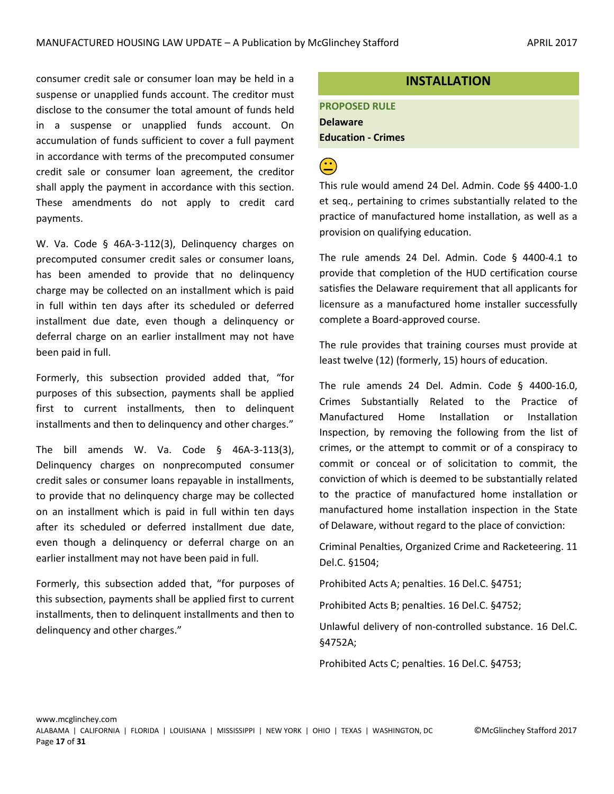consumer credit sale or consumer loan may be held in a suspense or unapplied funds account. The creditor must disclose to the consumer the total amount of funds held in a suspense or unapplied funds account. On accumulation of funds sufficient to cover a full payment in accordance with terms of the precomputed consumer credit sale or consumer loan agreement, the creditor shall apply the payment in accordance with this section. These amendments do not apply to credit card payments.

W. Va. Code § 46A-3-112(3), Delinquency charges on precomputed consumer credit sales or consumer loans, has been amended to provide that no delinquency charge may be collected on an installment which is paid in full within ten days after its scheduled or deferred installment due date, even though a delinquency or deferral charge on an earlier installment may not have been paid in full.

Formerly, this subsection provided added that, "for purposes of this subsection, payments shall be applied first to current installments, then to delinquent installments and then to delinquency and other charges."

The bill amends W. Va. Code § 46A-3-113(3), Delinquency charges on nonprecomputed consumer credit sales or consumer loans repayable in installments, to provide that no delinquency charge may be collected on an installment which is paid in full within ten days after its scheduled or deferred installment due date, even though a delinquency or deferral charge on an earlier installment may not have been paid in full.

Formerly, this subsection added that, "for purposes of this subsection, payments shall be applied first to current installments, then to delinquent installments and then to delinquency and other charges."

# **INSTALLATION**

**PROPOSED RULE Delaware Education - Crimes**

# $\bigodot$

This rule would amend 24 Del. Admin. Code §§ 4400-1.0 et seq., pertaining to crimes substantially related to the practice of manufactured home installation, as well as a provision on qualifying education.

The rule amends 24 Del. Admin. Code § 4400-4.1 to provide that completion of the HUD certification course satisfies the Delaware requirement that all applicants for licensure as a manufactured home installer successfully complete a Board-approved course.

The rule provides that training courses must provide at least twelve (12) (formerly, 15) hours of education.

The rule amends 24 Del. Admin. Code § 4400-16.0, Crimes Substantially Related to the Practice of Manufactured Home Installation or Installation Inspection, by removing the following from the list of crimes, or the attempt to commit or of a conspiracy to commit or conceal or of solicitation to commit, the conviction of which is deemed to be substantially related to the practice of manufactured home installation or manufactured home installation inspection in the State of Delaware, without regard to the place of conviction:

Criminal Penalties, Organized Crime and Racketeering. 11 Del.C. §1504;

Prohibited Acts A; penalties. 16 Del.C. §4751;

Prohibited Acts B; penalties. 16 Del.C. §4752;

Unlawful delivery of non-controlled substance. 16 Del.C. §4752A;

Prohibited Acts C; penalties. 16 Del.C. §4753;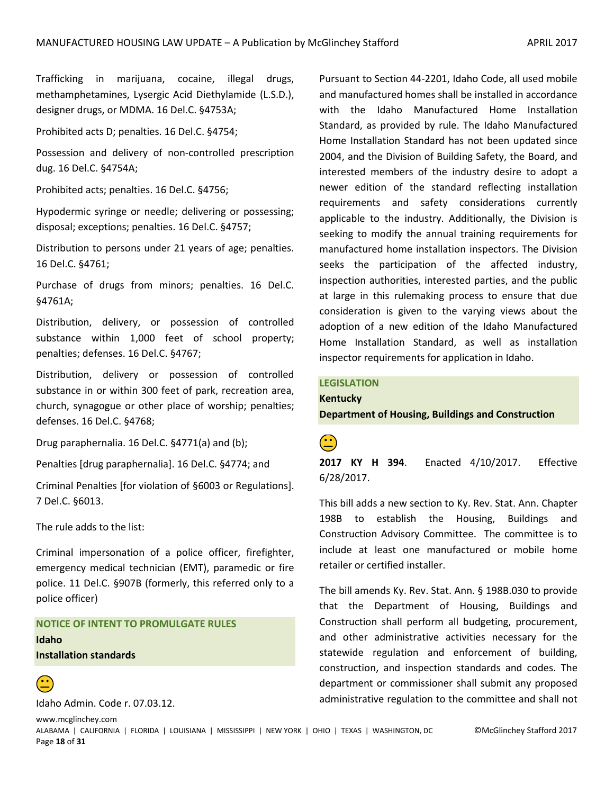Trafficking in marijuana, cocaine, illegal drugs, methamphetamines, Lysergic Acid Diethylamide (L.S.D.), designer drugs, or MDMA. 16 Del.C. §4753A;

Prohibited acts D; penalties. 16 Del.C. §4754;

Possession and delivery of non-controlled prescription dug. 16 Del.C. §4754A;

Prohibited acts; penalties. 16 Del.C. §4756;

Hypodermic syringe or needle; delivering or possessing; disposal; exceptions; penalties. 16 Del.C. §4757;

Distribution to persons under 21 years of age; penalties. 16 Del.C. §4761;

Purchase of drugs from minors; penalties. 16 Del.C. §4761A;

Distribution, delivery, or possession of controlled substance within 1,000 feet of school property; penalties; defenses. 16 Del.C. §4767;

Distribution, delivery or possession of controlled substance in or within 300 feet of park, recreation area, church, synagogue or other place of worship; penalties; defenses. 16 Del.C. §4768;

Drug paraphernalia. 16 Del.C. §4771(a) and (b);

Penalties [drug paraphernalia]. 16 Del.C. §4774; and

Criminal Penalties [for violation of §6003 or Regulations]. 7 Del.C. §6013.

The rule adds to the list:

Criminal impersonation of a police officer, firefighter, emergency medical technician (EMT), paramedic or fire police. 11 Del.C. §907B (formerly, this referred only to a police officer)

# **NOTICE OF INTENT TO PROMULGATE RULES Idaho Installation standards**



Idaho Admin. Code r. 07.03.12.

www.mcglinchey.com

Pursuant to Section 44-2201, Idaho Code, all used mobile and manufactured homes shall be installed in accordance with the Idaho Manufactured Home Installation Standard, as provided by rule. The Idaho Manufactured Home Installation Standard has not been updated since 2004, and the Division of Building Safety, the Board, and interested members of the industry desire to adopt a newer edition of the standard reflecting installation requirements and safety considerations currently applicable to the industry. Additionally, the Division is seeking to modify the annual training requirements for manufactured home installation inspectors. The Division seeks the participation of the affected industry, inspection authorities, interested parties, and the public at large in this rulemaking process to ensure that due consideration is given to the varying views about the adoption of a new edition of the Idaho Manufactured Home Installation Standard, as well as installation inspector requirements for application in Idaho.

# **LEGISLATION Kentucky**

**Department of Housing, Buildings and Construction**

 **2017 KY H 394**. Enacted 4/10/2017. Effective 6/28/2017.

This bill adds a new section to Ky. Rev. Stat. Ann. Chapter 198B to establish the Housing, Buildings and Construction Advisory Committee. The committee is to include at least one manufactured or mobile home retailer or certified installer.

The bill amends Ky. Rev. Stat. Ann. § 198B.030 to provide that the Department of Housing, Buildings and Construction shall perform all budgeting, procurement, and other administrative activities necessary for the statewide regulation and enforcement of building, construction, and inspection standards and codes. The department or commissioner shall submit any proposed administrative regulation to the committee and shall not

ALABAMA | CALIFORNIA | FLORIDA | LOUISIANA | MISSISSIPPI | NEW YORK | OHIO | TEXAS | WASHINGTON, DC ©McGlinchey Stafford 2017 Page **18** of **31**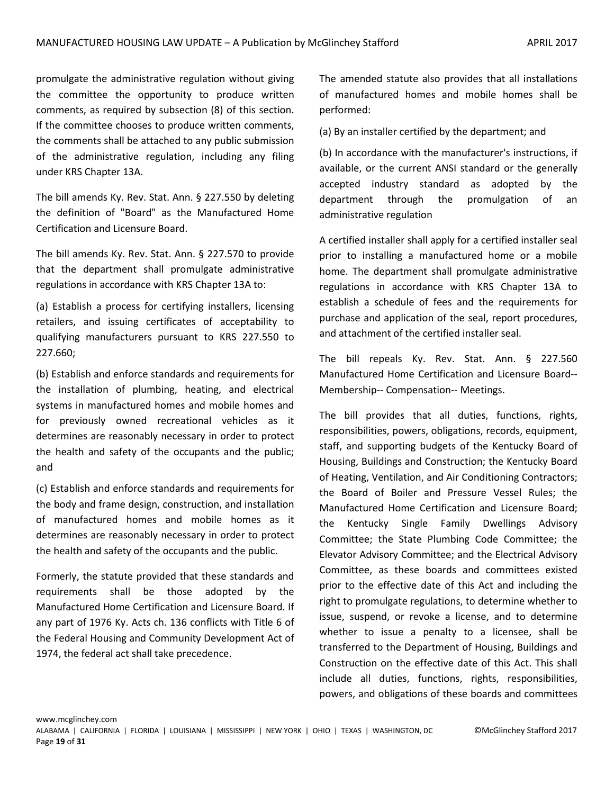promulgate the administrative regulation without giving the committee the opportunity to produce written comments, as required by subsection (8) of this section. If the committee chooses to produce written comments, the comments shall be attached to any public submission of the administrative regulation, including any filing under KRS Chapter 13A.

The bill amends Ky. Rev. Stat. Ann. § 227.550 by deleting the definition of "Board" as the Manufactured Home Certification and Licensure Board.

The bill amends Ky. Rev. Stat. Ann. § 227.570 to provide that the department shall promulgate administrative regulations in accordance with KRS Chapter 13A to:

(a) Establish a process for certifying installers, licensing retailers, and issuing certificates of acceptability to qualifying manufacturers pursuant to KRS 227.550 to 227.660;

(b) Establish and enforce standards and requirements for the installation of plumbing, heating, and electrical systems in manufactured homes and mobile homes and for previously owned recreational vehicles as it determines are reasonably necessary in order to protect the health and safety of the occupants and the public; and

(c) Establish and enforce standards and requirements for the body and frame design, construction, and installation of manufactured homes and mobile homes as it determines are reasonably necessary in order to protect the health and safety of the occupants and the public.

Formerly, the statute provided that these standards and requirements shall be those adopted by the Manufactured Home Certification and Licensure Board. If any part of 1976 Ky. Acts ch. 136 conflicts with Title 6 of the Federal Housing and Community Development Act of 1974, the federal act shall take precedence.

The amended statute also provides that all installations of manufactured homes and mobile homes shall be performed:

(a) By an installer certified by the department; and

(b) In accordance with the manufacturer's instructions, if available, or the current ANSI standard or the generally accepted industry standard as adopted by the department through the promulgation of an administrative regulation

A certified installer shall apply for a certified installer seal prior to installing a manufactured home or a mobile home. The department shall promulgate administrative regulations in accordance with KRS Chapter 13A to establish a schedule of fees and the requirements for purchase and application of the seal, report procedures, and attachment of the certified installer seal.

The bill repeals Ky. Rev. Stat. Ann. § 227.560 Manufactured Home Certification and Licensure Board-- Membership-- Compensation-- Meetings.

The bill provides that all duties, functions, rights, responsibilities, powers, obligations, records, equipment, staff, and supporting budgets of the Kentucky Board of Housing, Buildings and Construction; the Kentucky Board of Heating, Ventilation, and Air Conditioning Contractors; the Board of Boiler and Pressure Vessel Rules; the Manufactured Home Certification and Licensure Board; the Kentucky Single Family Dwellings Advisory Committee; the State Plumbing Code Committee; the Elevator Advisory Committee; and the Electrical Advisory Committee, as these boards and committees existed prior to the effective date of this Act and including the right to promulgate regulations, to determine whether to issue, suspend, or revoke a license, and to determine whether to issue a penalty to a licensee, shall be transferred to the Department of Housing, Buildings and Construction on the effective date of this Act. This shall include all duties, functions, rights, responsibilities, powers, and obligations of these boards and committees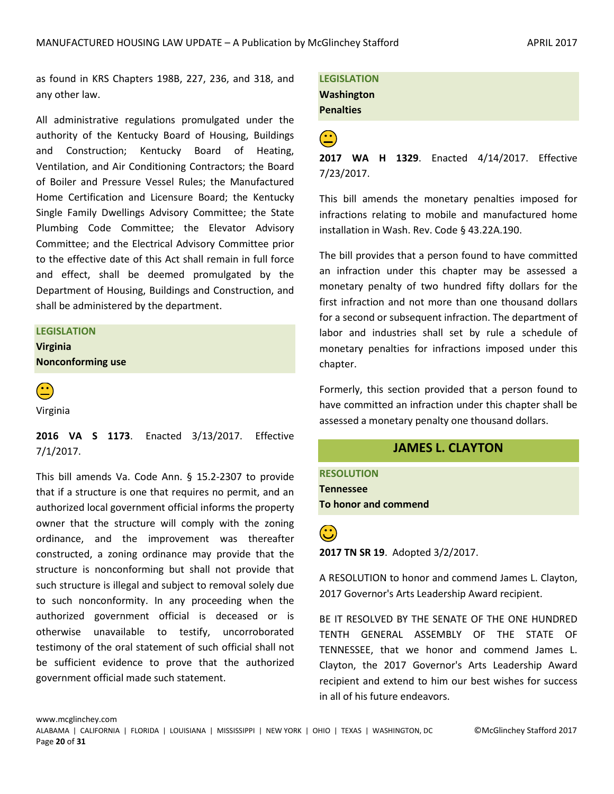as found in KRS Chapters 198B, 227, 236, and 318, and any other law.

All administrative regulations promulgated under the authority of the Kentucky Board of Housing, Buildings and Construction; Kentucky Board of Heating, Ventilation, and Air Conditioning Contractors; the Board of Boiler and Pressure Vessel Rules; the Manufactured Home Certification and Licensure Board; the Kentucky Single Family Dwellings Advisory Committee; the State Plumbing Code Committee; the Elevator Advisory Committee; and the Electrical Advisory Committee prior to the effective date of this Act shall remain in full force and effect, shall be deemed promulgated by the Department of Housing, Buildings and Construction, and shall be administered by the department.

#### **LEGISLATION**

**Virginia Nonconforming use**



Virginia

**2016 VA S 1173**. Enacted 3/13/2017. Effective 7/1/2017.

This bill amends Va. Code Ann. § 15.2-2307 to provide that if a structure is one that requires no permit, and an authorized local government official informs the property owner that the structure will comply with the zoning ordinance, and the improvement was thereafter constructed, a zoning ordinance may provide that the structure is nonconforming but shall not provide that such structure is illegal and subject to removal solely due to such nonconformity. In any proceeding when the authorized government official is deceased or is otherwise unavailable to testify, uncorroborated testimony of the oral statement of such official shall not be sufficient evidence to prove that the authorized government official made such statement.

**LEGISLATION Washington Penalties**

 **2017 WA H 1329**. Enacted 4/14/2017. Effective 7/23/2017.

This bill amends the monetary penalties imposed for infractions relating to mobile and manufactured home installation in Wash. Rev. Code § 43.22A.190.

The bill provides that a person found to have committed an infraction under this chapter may be assessed a monetary penalty of two hundred fifty dollars for the first infraction and not more than one thousand dollars for a second or subsequent infraction. The department of labor and industries shall set by rule a schedule of monetary penalties for infractions imposed under this chapter.

Formerly, this section provided that a person found to have committed an infraction under this chapter shall be assessed a monetary penalty one thousand dollars.

# **JAMES L. CLAYTON**

**RESOLUTION Tennessee To honor and commend**

**(<u>C</u>)**<br>2017 TN SR 19. Adopted 3/2/2017.

A RESOLUTION to honor and commend James L. Clayton, 2017 Governor's Arts Leadership Award recipient.

BE IT RESOLVED BY THE SENATE OF THE ONE HUNDRED TENTH GENERAL ASSEMBLY OF THE STATE OF TENNESSEE, that we honor and commend James L. Clayton, the 2017 Governor's Arts Leadership Award recipient and extend to him our best wishes for success in all of his future endeavors.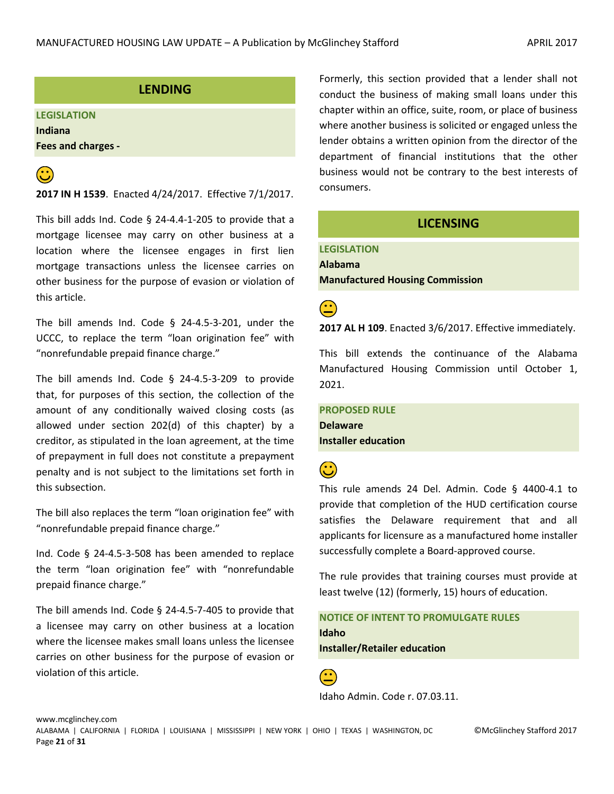# **LENDING**

# **LEGISLATION Indiana**

**Fees and charges -**



# **(<u>C</u>)**<br>**2017 IN H 1539**. Enacted 4/24/2017. Effective 7/1/2017.

This bill adds Ind. Code § 24-4.4-1-205 to provide that a mortgage licensee may carry on other business at a location where the licensee engages in first lien mortgage transactions unless the licensee carries on other business for the purpose of evasion or violation of this article.

The bill amends Ind. Code § 24-4.5-3-201, under the UCCC, to replace the term "loan origination fee" with "nonrefundable prepaid finance charge."

The bill amends Ind. Code § 24-4.5-3-209 to provide that, for purposes of this section, the collection of the amount of any conditionally waived closing costs (as allowed under section 202(d) of this chapter) by a creditor, as stipulated in the loan agreement, at the time of prepayment in full does not constitute a prepayment penalty and is not subject to the limitations set forth in this subsection.

The bill also replaces the term "loan origination fee" with "nonrefundable prepaid finance charge."

Ind. Code § 24-4.5-3-508 has been amended to replace the term "loan origination fee" with "nonrefundable prepaid finance charge."

The bill amends Ind. Code § 24-4.5-7-405 to provide that a licensee may carry on other business at a location where the licensee makes small loans unless the licensee carries on other business for the purpose of evasion or violation of this article.

Formerly, this section provided that a lender shall not conduct the business of making small loans under this chapter within an office, suite, room, or place of business where another business is solicited or engaged unless the lender obtains a written opinion from the director of the department of financial institutions that the other business would not be contrary to the best interests of consumers.

# **LICENSING**

<span id="page-20-0"></span>**LEGISLATION Alabama Manufactured Housing Commission**

**2017 AL H 109**. Enacted 3/6/2017. Effective immediately.

This bill extends the continuance of the Alabama Manufactured Housing Commission until October 1, 2021.

**PROPOSED RULE Delaware**

**Installer education**

This rule amends 24 Del. Admin. Code § 4400-4.1 to provide that completion of the HUD certification course satisfies the Delaware requirement that and all applicants for licensure as a manufactured home installer successfully complete a Board-approved course.

The rule provides that training courses must provide at least twelve (12) (formerly, 15) hours of education.

**NOTICE OF INTENT TO PROMULGATE RULES Idaho Installer/Retailer education**

Idaho Admin. Code r. 07.03.11.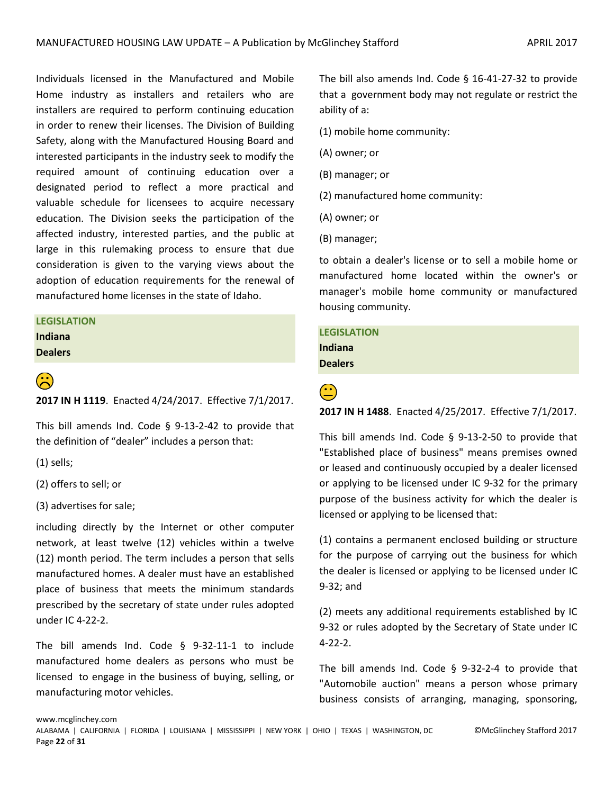Individuals licensed in the Manufactured and Mobile Home industry as installers and retailers who are installers are required to perform continuing education in order to renew their licenses. The Division of Building Safety, along with the Manufactured Housing Board and interested participants in the industry seek to modify the required amount of continuing education over a designated period to reflect a more practical and valuable schedule for licensees to acquire necessary education. The Division seeks the participation of the affected industry, interested parties, and the public at large in this rulemaking process to ensure that due consideration is given to the varying views about the adoption of education requirements for the renewal of manufactured home licenses in the state of Idaho.

# **LEGISLATION**

**Indiana Dealers**

**2017 IN H 1119**. Enacted 4/24/2017. Effective 7/1/2017.

This bill amends Ind. Code § 9-13-2-42 to provide that the definition of "dealer" includes a person that:

(1) sells;

(2) offers to sell; or

(3) advertises for sale;

including directly by the Internet or other computer network, at least twelve (12) vehicles within a twelve (12) month period. The term includes a person that sells manufactured homes. A dealer must have an established place of business that meets the minimum standards prescribed by the secretary of state under rules adopted under IC 4-22-2.

The bill amends Ind. Code § 9-32-11-1 to include manufactured home dealers as persons who must be licensed to engage in the business of buying, selling, or manufacturing motor vehicles.

The bill also amends Ind. Code § 16-41-27-32 to provide that a government body may not regulate or restrict the ability of a:

- (1) mobile home community:
- (A) owner; or
- (B) manager; or
- (2) manufactured home community:
- (A) owner; or
- (B) manager;

to obtain a dealer's license or to sell a mobile home or manufactured home located within the owner's or manager's mobile home community or manufactured housing community.

# **LEGISLATION Indiana Dealers**

**2017 IN H 1488**. Enacted 4/25/2017. Effective 7/1/2017.

This bill amends Ind. Code § 9-13-2-50 to provide that "Established place of business" means premises owned or leased and continuously occupied by a dealer licensed or applying to be licensed under IC 9-32 for the primary purpose of the business activity for which the dealer is licensed or applying to be licensed that:

(1) contains a permanent enclosed building or structure for the purpose of carrying out the business for which the dealer is licensed or applying to be licensed under IC 9-32; and

(2) meets any additional requirements established by IC 9-32 or rules adopted by the Secretary of State under IC 4-22-2.

The bill amends Ind. Code § 9-32-2-4 to provide that "Automobile auction" means a person whose primary business consists of arranging, managing, sponsoring,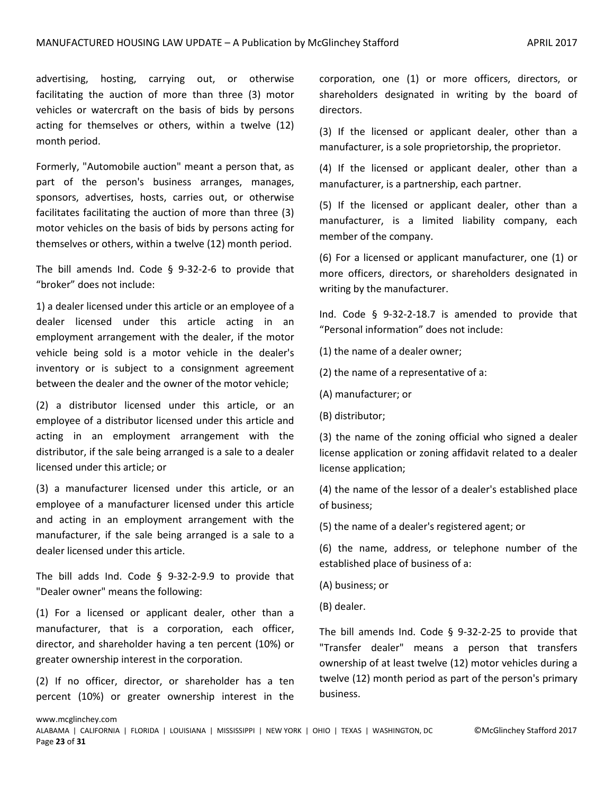advertising, hosting, carrying out, or otherwise facilitating the auction of more than three (3) motor vehicles or watercraft on the basis of bids by persons acting for themselves or others, within a twelve (12) month period.

Formerly, "Automobile auction" meant a person that, as part of the person's business arranges, manages, sponsors, advertises, hosts, carries out, or otherwise facilitates facilitating the auction of more than three (3) motor vehicles on the basis of bids by persons acting for themselves or others, within a twelve (12) month period.

The bill amends Ind. Code § 9-32-2-6 to provide that "broker" does not include:

1) a dealer licensed under this article or an employee of a dealer licensed under this article acting in an employment arrangement with the dealer, if the motor vehicle being sold is a motor vehicle in the dealer's inventory or is subject to a consignment agreement between the dealer and the owner of the motor vehicle;

(2) a distributor licensed under this article, or an employee of a distributor licensed under this article and acting in an employment arrangement with the distributor, if the sale being arranged is a sale to a dealer licensed under this article; or

(3) a manufacturer licensed under this article, or an employee of a manufacturer licensed under this article and acting in an employment arrangement with the manufacturer, if the sale being arranged is a sale to a dealer licensed under this article.

The bill adds Ind. Code  $\S$  9-32-2-9.9 to provide that "Dealer owner" means the following:

(1) For a licensed or applicant dealer, other than a manufacturer, that is a corporation, each officer, director, and shareholder having a ten percent (10%) or greater ownership interest in the corporation.

(2) If no officer, director, or shareholder has a ten percent (10%) or greater ownership interest in the corporation, one (1) or more officers, directors, or shareholders designated in writing by the board of directors.

(3) If the licensed or applicant dealer, other than a manufacturer, is a sole proprietorship, the proprietor.

(4) If the licensed or applicant dealer, other than a manufacturer, is a partnership, each partner.

(5) If the licensed or applicant dealer, other than a manufacturer, is a limited liability company, each member of the company.

(6) For a licensed or applicant manufacturer, one (1) or more officers, directors, or shareholders designated in writing by the manufacturer.

Ind. Code § 9-32-2-18.7 is amended to provide that "Personal information" does not include:

(1) the name of a dealer owner;

(2) the name of a representative of a:

(A) manufacturer; or

(B) distributor;

(3) the name of the zoning official who signed a dealer license application or zoning affidavit related to a dealer license application;

(4) the name of the lessor of a dealer's established place of business;

(5) the name of a dealer's registered agent; or

(6) the name, address, or telephone number of the established place of business of a:

(A) business; or

(B) dealer.

The bill amends Ind. Code § 9-32-2-25 to provide that "Transfer dealer" means a person that transfers ownership of at least twelve (12) motor vehicles during a twelve (12) month period as part of the person's primary business.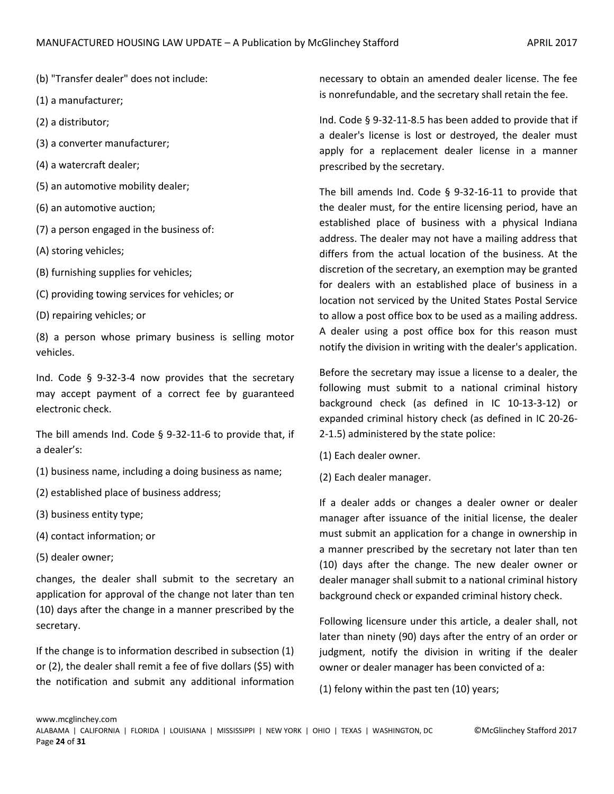- (b) "Transfer dealer" does not include:
- (1) a manufacturer;
- (2) a distributor;
- (3) a converter manufacturer;
- (4) a watercraft dealer;
- (5) an automotive mobility dealer;
- (6) an automotive auction;
- (7) a person engaged in the business of:
- (A) storing vehicles;
- (B) furnishing supplies for vehicles;
- (C) providing towing services for vehicles; or
- (D) repairing vehicles; or

(8) a person whose primary business is selling motor vehicles.

Ind. Code § 9-32-3-4 now provides that the secretary may accept payment of a correct fee by guaranteed electronic check.

The bill amends Ind. Code § 9-32-11-6 to provide that, if a dealer's:

- (1) business name, including a doing business as name;
- (2) established place of business address;
- (3) business entity type;
- (4) contact information; or
- (5) dealer owner;

changes, the dealer shall submit to the secretary an application for approval of the change not later than ten (10) days after the change in a manner prescribed by the secretary.

If the change is to information described in subsection (1) or (2), the dealer shall remit a fee of five dollars (\$5) with the notification and submit any additional information necessary to obtain an amended dealer license. The fee is nonrefundable, and the secretary shall retain the fee.

Ind. Code § 9-32-11-8.5 has been added to provide that if a dealer's license is lost or destroyed, the dealer must apply for a replacement dealer license in a manner prescribed by the secretary.

The bill amends Ind. Code § 9-32-16-11 to provide that the dealer must, for the entire licensing period, have an established place of business with a physical Indiana address. The dealer may not have a mailing address that differs from the actual location of the business. At the discretion of the secretary, an exemption may be granted for dealers with an established place of business in a location not serviced by the United States Postal Service to allow a post office box to be used as a mailing address. A dealer using a post office box for this reason must notify the division in writing with the dealer's application.

Before the secretary may issue a license to a dealer, the following must submit to a national criminal history background check (as defined in IC 10-13-3-12) or expanded criminal history check (as defined in IC 20-26- 2-1.5) administered by the state police:

- (1) Each dealer owner.
- (2) Each dealer manager.

If a dealer adds or changes a dealer owner or dealer manager after issuance of the initial license, the dealer must submit an application for a change in ownership in a manner prescribed by the secretary not later than ten (10) days after the change. The new dealer owner or dealer manager shall submit to a national criminal history background check or expanded criminal history check.

Following licensure under this article, a dealer shall, not later than ninety (90) days after the entry of an order or judgment, notify the division in writing if the dealer owner or dealer manager has been convicted of a:

(1) felony within the past ten (10) years;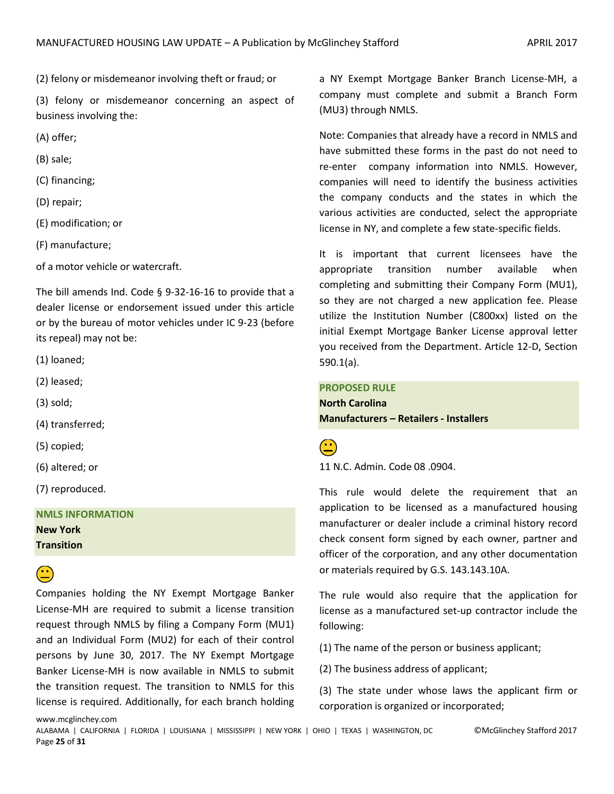(2) felony or misdemeanor involving theft or fraud; or

(3) felony or misdemeanor concerning an aspect of business involving the:

(A) offer;

(B) sale;

(C) financing;

(D) repair;

(E) modification; or

(F) manufacture;

of a motor vehicle or watercraft.

The bill amends Ind. Code § 9-32-16-16 to provide that a dealer license or endorsement issued under this article or by the bureau of motor vehicles under IC 9-23 (before its repeal) may not be:

(1) loaned;

(2) leased;

(3) sold;

(4) transferred;

(5) copied;

(6) altered; or

(7) reproduced.

**NMLS INFORMATION New York Transition**

www.mcglinchey.com

# $\hat{\mathbf{e}}$

Companies holding the NY Exempt Mortgage Banker License-MH are required to submit a license transition request through NMLS by filing a Company Form (MU1) and an Individual Form (MU2) for each of their control persons by June 30, 2017. The NY Exempt Mortgage Banker License-MH is now available in NMLS to submit the transition request. The transition to NMLS for this license is required. Additionally, for each branch holding

a NY Exempt Mortgage Banker Branch License-MH, a company must complete and submit a Branch Form (MU3) through NMLS.

Note: Companies that already have a record in NMLS and have submitted these forms in the past do not need to re-enter company information into NMLS. However, companies will need to identify the business activities the company conducts and the states in which the various activities are conducted, select the appropriate license in NY, and complete a few state-specific fields.

It is important that current licensees have the appropriate transition number available when completing and submitting their Company Form (MU1), so they are not charged a new application fee. Please utilize the Institution Number (C800xx) listed on the initial Exempt Mortgage Banker License approval letter you received from the Department. Article 12-D, Section 590.1(a).

### **PROPOSED RULE**

**North Carolina Manufacturers – Retailers - Installers**

11 N.C. Admin. Code 08 .0904.

This rule would delete the requirement that an application to be licensed as a manufactured housing manufacturer or dealer include a criminal history record check consent form signed by each owner, partner and officer of the corporation, and any other documentation or materials required by G.S. 143.143.10A.

The rule would also require that the application for license as a manufactured set-up contractor include the following:

(1) The name of the person or business applicant;

(2) The business address of applicant;

(3) The state under whose laws the applicant firm or corporation is organized or incorporated;

ALABAMA | CALIFORNIA | FLORIDA | LOUISIANA | MISSISSIPPI | NEW YORK | OHIO | TEXAS | WASHINGTON, DC ©McGlinchey Stafford 2017 Page **25** of **31**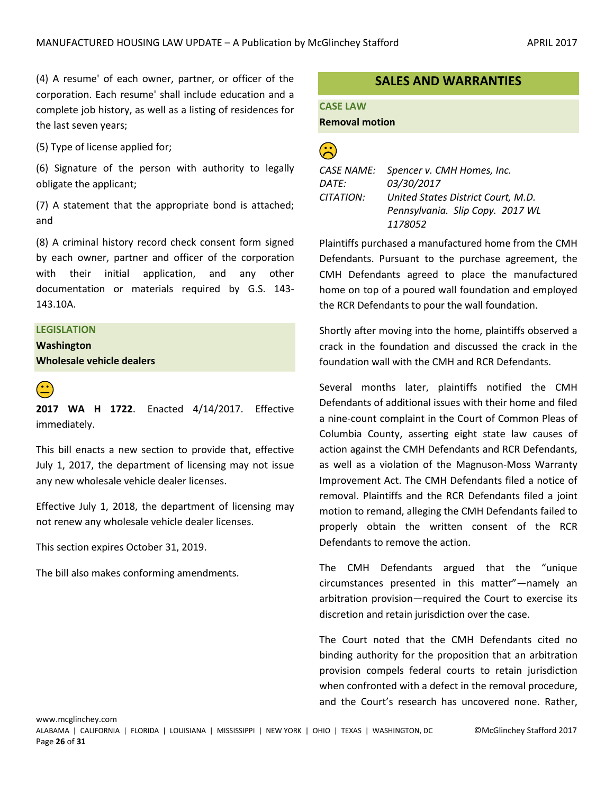(4) A resume' of each owner, partner, or officer of the corporation. Each resume' shall include education and a complete job history, as well as a listing of residences for the last seven years;

(5) Type of license applied for;

(6) Signature of the person with authority to legally obligate the applicant;

(7) A statement that the appropriate bond is attached; and

(8) A criminal history record check consent form signed by each owner, partner and officer of the corporation with their initial application, and any other documentation or materials required by G.S. 143- 143.10A.

#### **LEGISLATION**

**Washington Wholesale vehicle dealers**

**2017 WA H 1722**. Enacted 4/14/2017. Effective immediately.

This bill enacts a new section to provide that, effective July 1, 2017, the department of licensing may not issue any new wholesale vehicle dealer licenses.

Effective July 1, 2018, the department of licensing may not renew any wholesale vehicle dealer licenses.

This section expires October 31, 2019.

The bill also makes conforming amendments.

# **SALES AND WARRANTIES**

# **CASE LAW Removal motion**

| CASE NAME: | Spencer v. CMH Homes, Inc.         |
|------------|------------------------------------|
| DATE:      | 03/30/2017                         |
| CITATION:  | United States District Court, M.D. |
|            | Pennsylvania. Slip Copy. 2017 WL   |
|            | 1178052                            |

Plaintiffs purchased a manufactured home from the CMH Defendants. Pursuant to the purchase agreement, the CMH Defendants agreed to place the manufactured home on top of a poured wall foundation and employed the RCR Defendants to pour the wall foundation.

Shortly after moving into the home, plaintiffs observed a crack in the foundation and discussed the crack in the foundation wall with the CMH and RCR Defendants.

Several months later, plaintiffs notified the CMH Defendants of additional issues with their home and filed a nine-count complaint in the Court of Common Pleas of Columbia County, asserting eight state law causes of action against the CMH Defendants and RCR Defendants, as well as a violation of the Magnuson-Moss Warranty Improvement Act. The CMH Defendants filed a notice of removal. Plaintiffs and the RCR Defendants filed a joint motion to remand, alleging the CMH Defendants failed to properly obtain the written consent of the RCR Defendants to remove the action.

The CMH Defendants argued that the "unique circumstances presented in this matter"—namely an arbitration provision—required the Court to exercise its discretion and retain jurisdiction over the case.

The Court noted that the CMH Defendants cited no binding authority for the proposition that an arbitration provision compels federal courts to retain jurisdiction when confronted with a defect in the removal procedure, and the Court's research has uncovered none. Rather,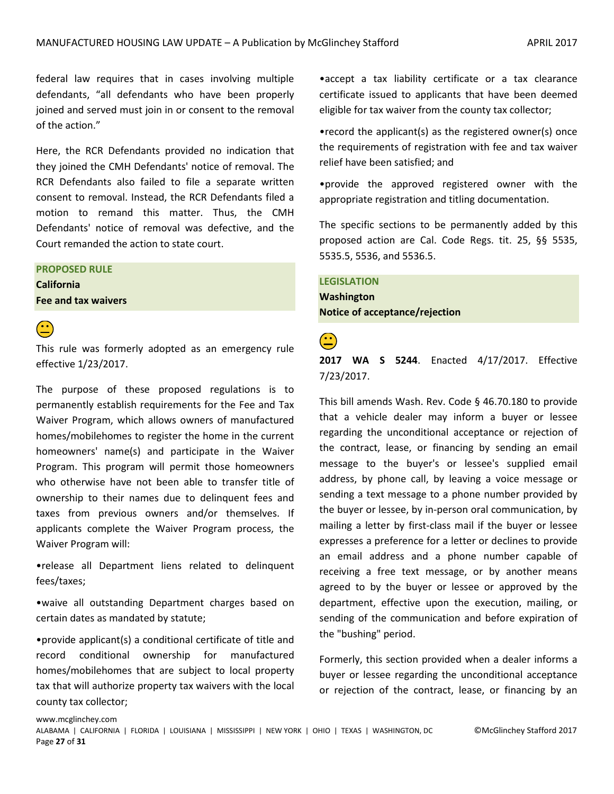federal law requires that in cases involving multiple defendants, "all defendants who have been properly joined and served must join in or consent to the removal of the action."

Here, the RCR Defendants provided no indication that they joined the CMH Defendants' notice of removal. The RCR Defendants also failed to file a separate written consent to removal. Instead, the RCR Defendants filed a motion to remand this matter. Thus, the CMH Defendants' notice of removal was defective, and the Court remanded the action to state court.

# **PROPOSED RULE**

**California Fee and tax waivers**



This rule was formerly adopted as an emergency rule effective 1/23/2017.

The purpose of these proposed regulations is to permanently establish requirements for the Fee and Tax Waiver Program, which allows owners of manufactured homes/mobilehomes to register the home in the current homeowners' name(s) and participate in the Waiver Program. This program will permit those homeowners who otherwise have not been able to transfer title of ownership to their names due to delinquent fees and taxes from previous owners and/or themselves. If applicants complete the Waiver Program process, the Waiver Program will:

•release all Department liens related to delinquent fees/taxes;

•waive all outstanding Department charges based on certain dates as mandated by statute;

•provide applicant(s) a conditional certificate of title and record conditional ownership for manufactured homes/mobilehomes that are subject to local property tax that will authorize property tax waivers with the local county tax collector;

•accept a tax liability certificate or a tax clearance certificate issued to applicants that have been deemed eligible for tax waiver from the county tax collector;

•record the applicant(s) as the registered owner(s) once the requirements of registration with fee and tax waiver relief have been satisfied; and

•provide the approved registered owner with the appropriate registration and titling documentation.

The specific sections to be permanently added by this proposed action are Cal. Code Regs. tit. 25, §§ 5535, 5535.5, 5536, and 5536.5.

# **LEGISLATION**

**Washington Notice of acceptance/rejection**

**2017 WA S 5244**. Enacted 4/17/2017. Effective 7/23/2017.

This bill amends Wash. Rev. Code § 46.70.180 to provide that a vehicle dealer may inform a buyer or lessee regarding the unconditional acceptance or rejection of the contract, lease, or financing by sending an email message to the buyer's or lessee's supplied email address, by phone call, by leaving a voice message or sending a text message to a phone number provided by the buyer or lessee, by in-person oral communication, by mailing a letter by first-class mail if the buyer or lessee expresses a preference for a letter or declines to provide an email address and a phone number capable of receiving a free text message, or by another means agreed to by the buyer or lessee or approved by the department, effective upon the execution, mailing, or sending of the communication and before expiration of the "bushing" period.

Formerly, this section provided when a dealer informs a buyer or lessee regarding the unconditional acceptance or rejection of the contract, lease, or financing by an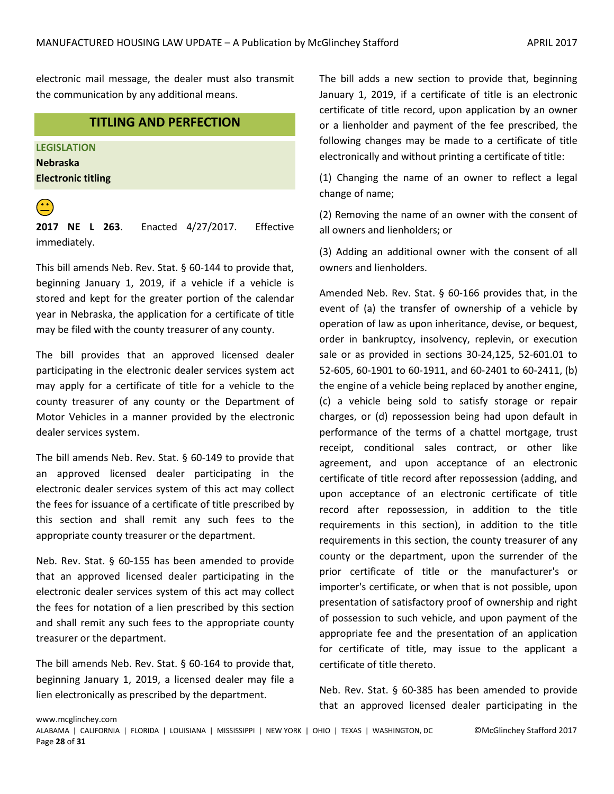electronic mail message, the dealer must also transmit the communication by any additional means.

# **TITLING AND PERFECTION**

**LEGISLATION Nebraska Electronic titling**



 **2017 NE L 263**. Enacted 4/27/2017. Effective immediately.

This bill amends Neb. Rev. Stat. § 60-144 to provide that, beginning January 1, 2019, if a vehicle if a vehicle is stored and kept for the greater portion of the calendar year in Nebraska, the application for a certificate of title may be filed with the county treasurer of any county.

The bill provides that an approved licensed dealer participating in the electronic dealer services system act may apply for a certificate of title for a vehicle to the county treasurer of any county or the Department of Motor Vehicles in a manner provided by the electronic dealer services system.

The bill amends Neb. Rev. Stat. § 60-149 to provide that an approved licensed dealer participating in the electronic dealer services system of this act may collect the fees for issuance of a certificate of title prescribed by this section and shall remit any such fees to the appropriate county treasurer or the department.

Neb. Rev. Stat. § 60-155 has been amended to provide that an approved licensed dealer participating in the electronic dealer services system of this act may collect the fees for notation of a lien prescribed by this section and shall remit any such fees to the appropriate county treasurer or the department.

The bill amends Neb. Rev. Stat. § 60-164 to provide that, beginning January 1, 2019, a licensed dealer may file a lien electronically as prescribed by the department.

The bill adds a new section to provide that, beginning January 1, 2019, if a certificate of title is an electronic certificate of title record, upon application by an owner or a lienholder and payment of the fee prescribed, the following changes may be made to a certificate of title electronically and without printing a certificate of title:

(1) Changing the name of an owner to reflect a legal change of name;

(2) Removing the name of an owner with the consent of all owners and lienholders; or

(3) Adding an additional owner with the consent of all owners and lienholders.

Amended Neb. Rev. Stat. § 60-166 provides that, in the event of (a) the transfer of ownership of a vehicle by operation of law as upon inheritance, devise, or bequest, order in bankruptcy, insolvency, replevin, or execution sale or as provided in sections 30-24,125, 52-601.01 to 52-605, 60-1901 to 60-1911, and 60-2401 to 60-2411, (b) the engine of a vehicle being replaced by another engine, (c) a vehicle being sold to satisfy storage or repair charges, or (d) repossession being had upon default in performance of the terms of a chattel mortgage, trust receipt, conditional sales contract, or other like agreement, and upon acceptance of an electronic certificate of title record after repossession (adding, and upon acceptance of an electronic certificate of title record after repossession, in addition to the title requirements in this section), in addition to the title requirements in this section, the county treasurer of any county or the department, upon the surrender of the prior certificate of title or the manufacturer's or importer's certificate, or when that is not possible, upon presentation of satisfactory proof of ownership and right of possession to such vehicle, and upon payment of the appropriate fee and the presentation of an application for certificate of title, may issue to the applicant a certificate of title thereto.

Neb. Rev. Stat. § 60-385 has been amended to provide that an approved licensed dealer participating in the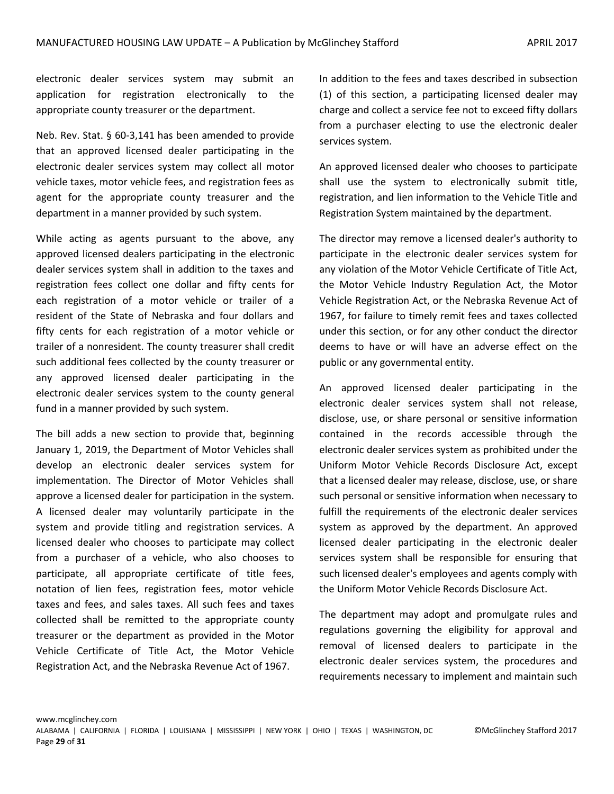electronic dealer services system may submit an application for registration electronically to the appropriate county treasurer or the department.

Neb. Rev. Stat. § 60-3,141 has been amended to provide that an approved licensed dealer participating in the electronic dealer services system may collect all motor vehicle taxes, motor vehicle fees, and registration fees as agent for the appropriate county treasurer and the department in a manner provided by such system.

While acting as agents pursuant to the above, any approved licensed dealers participating in the electronic dealer services system shall in addition to the taxes and registration fees collect one dollar and fifty cents for each registration of a motor vehicle or trailer of a resident of the State of Nebraska and four dollars and fifty cents for each registration of a motor vehicle or trailer of a nonresident. The county treasurer shall credit such additional fees collected by the county treasurer or any approved licensed dealer participating in the electronic dealer services system to the county general fund in a manner provided by such system.

The bill adds a new section to provide that, beginning January 1, 2019, the Department of Motor Vehicles shall develop an electronic dealer services system for implementation. The Director of Motor Vehicles shall approve a licensed dealer for participation in the system. A licensed dealer may voluntarily participate in the system and provide titling and registration services. A licensed dealer who chooses to participate may collect from a purchaser of a vehicle, who also chooses to participate, all appropriate certificate of title fees, notation of lien fees, registration fees, motor vehicle taxes and fees, and sales taxes. All such fees and taxes collected shall be remitted to the appropriate county treasurer or the department as provided in the Motor Vehicle Certificate of Title Act, the Motor Vehicle Registration Act, and the Nebraska Revenue Act of 1967.

In addition to the fees and taxes described in subsection (1) of this section, a participating licensed dealer may charge and collect a service fee not to exceed fifty dollars from a purchaser electing to use the electronic dealer services system.

An approved licensed dealer who chooses to participate shall use the system to electronically submit title, registration, and lien information to the Vehicle Title and Registration System maintained by the department.

The director may remove a licensed dealer's authority to participate in the electronic dealer services system for any violation of the Motor Vehicle Certificate of Title Act, the Motor Vehicle Industry Regulation Act, the Motor Vehicle Registration Act, or the Nebraska Revenue Act of 1967, for failure to timely remit fees and taxes collected under this section, or for any other conduct the director deems to have or will have an adverse effect on the public or any governmental entity.

An approved licensed dealer participating in the electronic dealer services system shall not release, disclose, use, or share personal or sensitive information contained in the records accessible through the electronic dealer services system as prohibited under the Uniform Motor Vehicle Records Disclosure Act, except that a licensed dealer may release, disclose, use, or share such personal or sensitive information when necessary to fulfill the requirements of the electronic dealer services system as approved by the department. An approved licensed dealer participating in the electronic dealer services system shall be responsible for ensuring that such licensed dealer's employees and agents comply with the Uniform Motor Vehicle Records Disclosure Act.

The department may adopt and promulgate rules and regulations governing the eligibility for approval and removal of licensed dealers to participate in the electronic dealer services system, the procedures and requirements necessary to implement and maintain such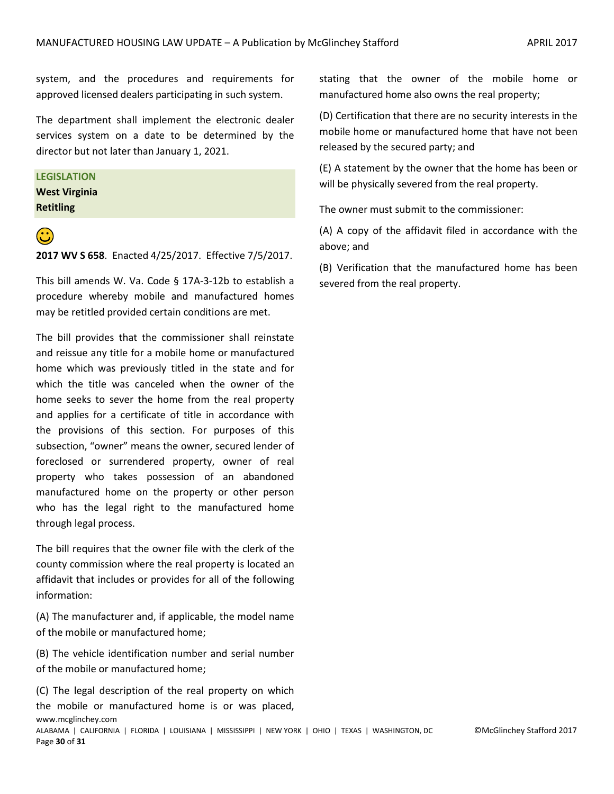system, and the procedures and requirements for approved licensed dealers participating in such system.

The department shall implement the electronic dealer services system on a date to be determined by the director but not later than January 1, 2021.

#### **LEGISLATION**

**West Virginia Retitling**



#### **2017 WV S 658**. Enacted 4/25/2017. Effective 7/5/2017.

This bill amends W. Va. Code § 17A-3-12b to establish a procedure whereby mobile and manufactured homes may be retitled provided certain conditions are met.

The bill provides that the commissioner shall reinstate and reissue any title for a mobile home or manufactured home which was previously titled in the state and for which the title was canceled when the owner of the home seeks to sever the home from the real property and applies for a certificate of title in accordance with the provisions of this section. For purposes of this subsection, "owner" means the owner, secured lender of foreclosed or surrendered property, owner of real property who takes possession of an abandoned manufactured home on the property or other person who has the legal right to the manufactured home through legal process.

The bill requires that the owner file with the clerk of the county commission where the real property is located an affidavit that includes or provides for all of the following information:

(A) The manufacturer and, if applicable, the model name of the mobile or manufactured home;

(B) The vehicle identification number and serial number of the mobile or manufactured home;

www.mcglinchey.com ALABAMA | CALIFORNIA | FLORIDA | LOUISIANA | MISSISSIPPI | NEW YORK | OHIO | TEXAS | WASHINGTON, DC ©McGlinchey Stafford 2017 Page **30** of **31** (C) The legal description of the real property on which the mobile or manufactured home is or was placed,

stating that the owner of the mobile home or manufactured home also owns the real property;

(D) Certification that there are no security interests in the mobile home or manufactured home that have not been released by the secured party; and

(E) A statement by the owner that the home has been or will be physically severed from the real property.

The owner must submit to the commissioner:

(A) A copy of the affidavit filed in accordance with the above; and

(B) Verification that the manufactured home has been severed from the real property.